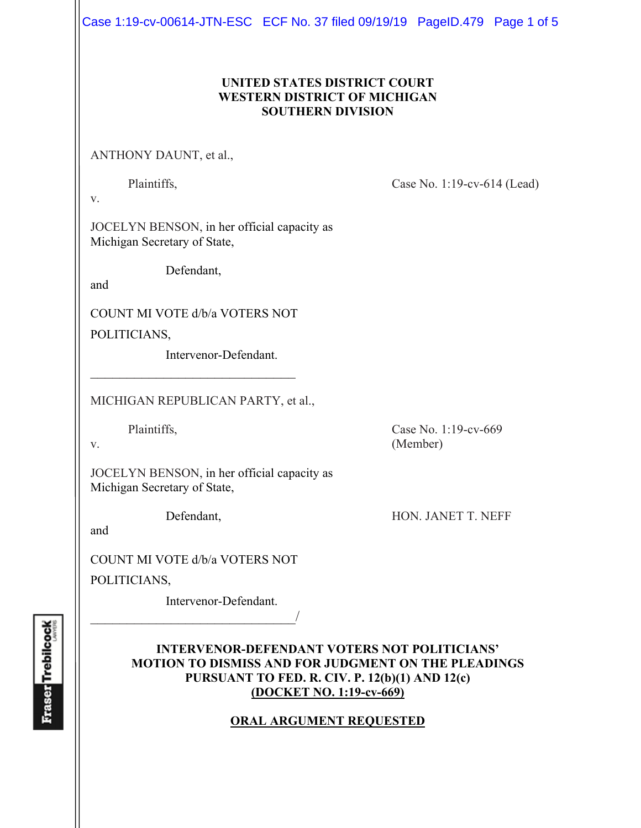Case 1:19-cv-00614-JTN-ESC ECF No. 37 filed 09/19/19 PageID.479 Page 1 of 5

### **UNITED STATES DISTRICT COURT WESTERN DISTRICT OF MICHIGAN SOUTHERN DIVISION**

ANTHONY DAUNT, et al.,

Plaintiffs, Case No. 1:19-cv-614 (Lead)

v.

JOCELYN BENSON, in her official capacity as Michigan Secretary of State,

Defendant,

and

COUNT MI VOTE d/b/a VOTERS NOT

 $\mathcal{L}_\text{max}$  , and the set of the set of the set of the set of the set of the set of the set of the set of the set of the set of the set of the set of the set of the set of the set of the set of the set of the set of the

POLITICIANS,

Intervenor-Defendant.

MICHIGAN REPUBLICAN PARTY, et al.,

Plaintiffs, Case No. 1:19-cv-669 v. (Member)

JOCELYN BENSON, in her official capacity as Michigan Secretary of State,

Defendant, HON. JANET T. NEFF

and

COUNT MI VOTE d/b/a VOTERS NOT

POLITICIANS,

 Intervenor-Defendant.  $\overline{\phantom{a}}$ 

## **INTERVENOR-DEFENDANT VOTERS NOT POLITICIANS' MOTION TO DISMISS AND FOR JUDGMENT ON THE PLEADINGS PURSUANT TO FED. R. CIV. P. 12(b)(1) AND 12(c) (DOCKET NO. 1:19-cv-669)**

# **ORAL ARGUMENT REQUESTED**

**Fraser** Trebilcock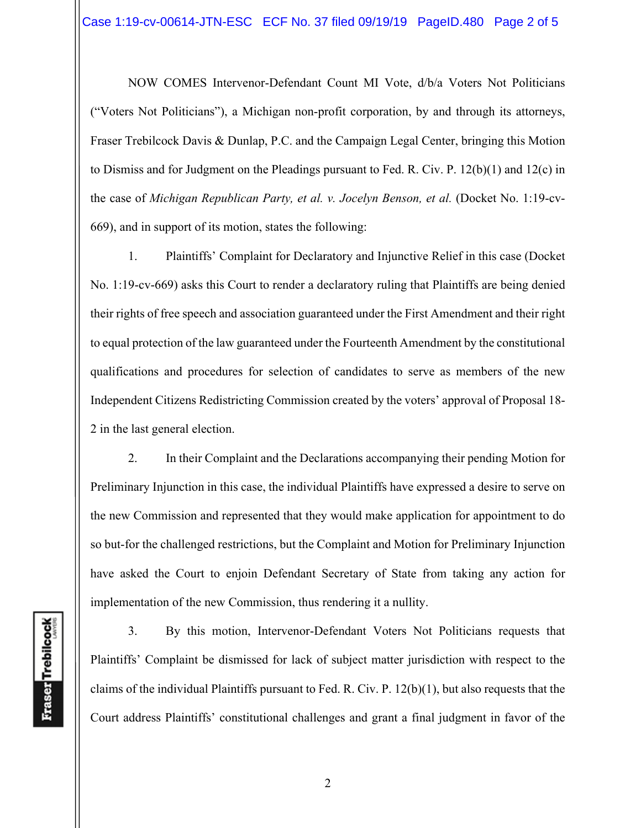NOW COMES Intervenor-Defendant Count MI Vote, d/b/a Voters Not Politicians ("Voters Not Politicians"), a Michigan non-profit corporation, by and through its attorneys, Fraser Trebilcock Davis & Dunlap, P.C. and the Campaign Legal Center, bringing this Motion to Dismiss and for Judgment on the Pleadings pursuant to Fed. R. Civ. P. 12(b)(1) and 12(c) in the case of *Michigan Republican Party, et al. v. Jocelyn Benson, et al.* (Docket No. 1:19-cv-669), and in support of its motion, states the following:

1. Plaintiffs' Complaint for Declaratory and Injunctive Relief in this case (Docket No. 1:19-cv-669) asks this Court to render a declaratory ruling that Plaintiffs are being denied their rights of free speech and association guaranteed under the First Amendment and their right to equal protection of the law guaranteed under the Fourteenth Amendment by the constitutional qualifications and procedures for selection of candidates to serve as members of the new Independent Citizens Redistricting Commission created by the voters' approval of Proposal 18- 2 in the last general election.

2. In their Complaint and the Declarations accompanying their pending Motion for Preliminary Injunction in this case, the individual Plaintiffs have expressed a desire to serve on the new Commission and represented that they would make application for appointment to do so but-for the challenged restrictions, but the Complaint and Motion for Preliminary Injunction have asked the Court to enjoin Defendant Secretary of State from taking any action for implementation of the new Commission, thus rendering it a nullity.

3. By this motion, Intervenor-Defendant Voters Not Politicians requests that Plaintiffs' Complaint be dismissed for lack of subject matter jurisdiction with respect to the claims of the individual Plaintiffs pursuant to Fed. R. Civ. P. 12(b)(1), but also requests that the Court address Plaintiffs' constitutional challenges and grant a final judgment in favor of the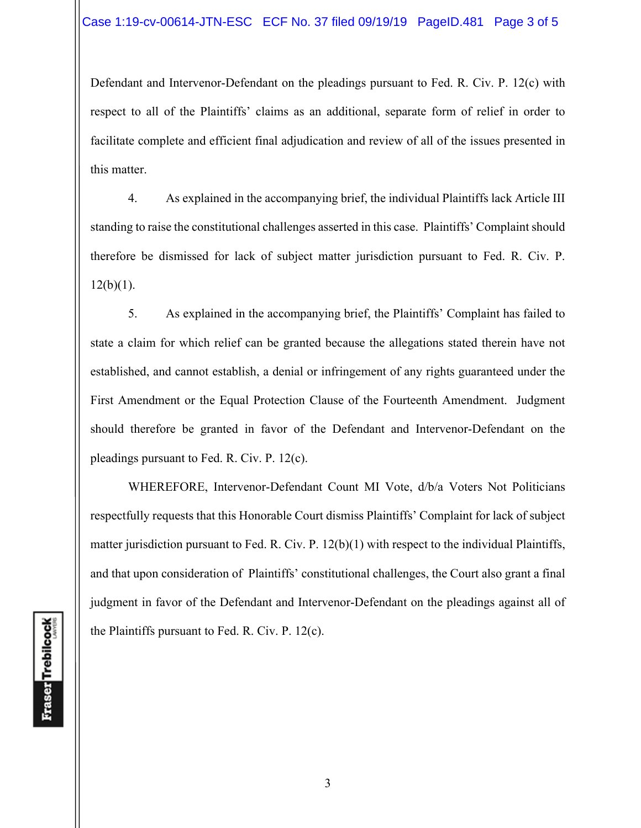Defendant and Intervenor-Defendant on the pleadings pursuant to Fed. R. Civ. P. 12(c) with respect to all of the Plaintiffs' claims as an additional, separate form of relief in order to facilitate complete and efficient final adjudication and review of all of the issues presented in this matter.

4. As explained in the accompanying brief, the individual Plaintiffs lack Article III standing to raise the constitutional challenges asserted in this case. Plaintiffs' Complaint should therefore be dismissed for lack of subject matter jurisdiction pursuant to Fed. R. Civ. P.  $12(b)(1)$ .

5. As explained in the accompanying brief, the Plaintiffs' Complaint has failed to state a claim for which relief can be granted because the allegations stated therein have not established, and cannot establish, a denial or infringement of any rights guaranteed under the First Amendment or the Equal Protection Clause of the Fourteenth Amendment. Judgment should therefore be granted in favor of the Defendant and Intervenor-Defendant on the pleadings pursuant to Fed. R. Civ. P. 12(c).

 WHEREFORE, Intervenor-Defendant Count MI Vote, d/b/a Voters Not Politicians respectfully requests that this Honorable Court dismiss Plaintiffs' Complaint for lack of subject matter jurisdiction pursuant to Fed. R. Civ. P.  $12(b)(1)$  with respect to the individual Plaintiffs, and that upon consideration of Plaintiffs' constitutional challenges, the Court also grant a final judgment in favor of the Defendant and Intervenor-Defendant on the pleadings against all of the Plaintiffs pursuant to Fed. R. Civ. P. 12(c).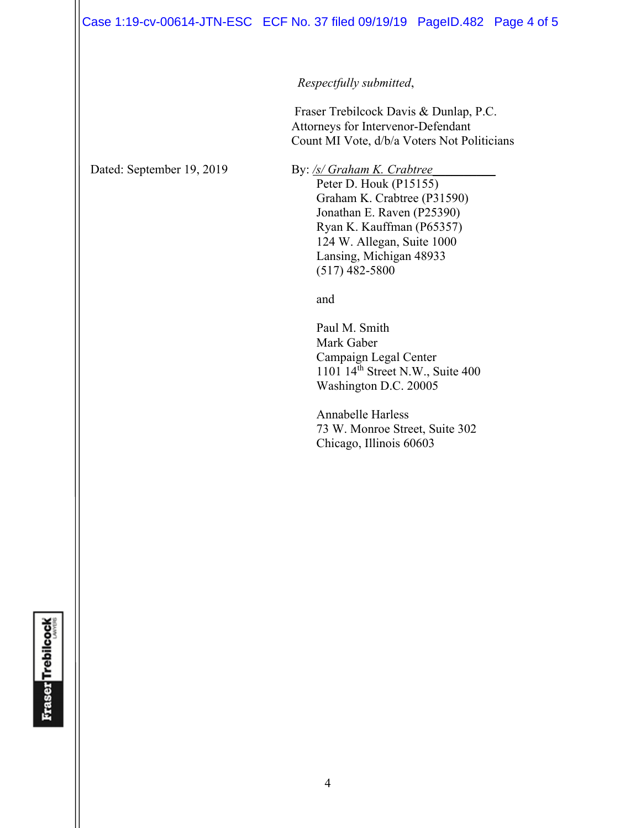### Case 1:19-cv-00614-JTN-ESC ECF No. 37 filed 09/19/19 PageID.482 Page 4 of 5

*Respectfully submitted*,

 Fraser Trebilcock Davis & Dunlap, P.C. Attorneys for Intervenor-Defendant Count MI Vote, d/b/a Voters Not Politicians

Dated: September 19, 2019 By: /s/ Graham K. Crabtree

Peter D. Houk (P15155) Graham K. Crabtree (P31590) Jonathan E. Raven (P25390) Ryan K. Kauffman (P65357) 124 W. Allegan, Suite 1000 Lansing, Michigan 48933 (517) 482-5800

and and state of the state of the state of the state of the state of the state of the state of the state of the state of the state of the state of the state of the state of the state of the state of the state of the state

 Paul M. Smith Mark Gaber Campaign Legal Center 1101 14th Street N.W., Suite 400 Washington D.C. 20005

Annabelle Harless 73 W. Monroe Street, Suite 302 Chicago, Illinois 60603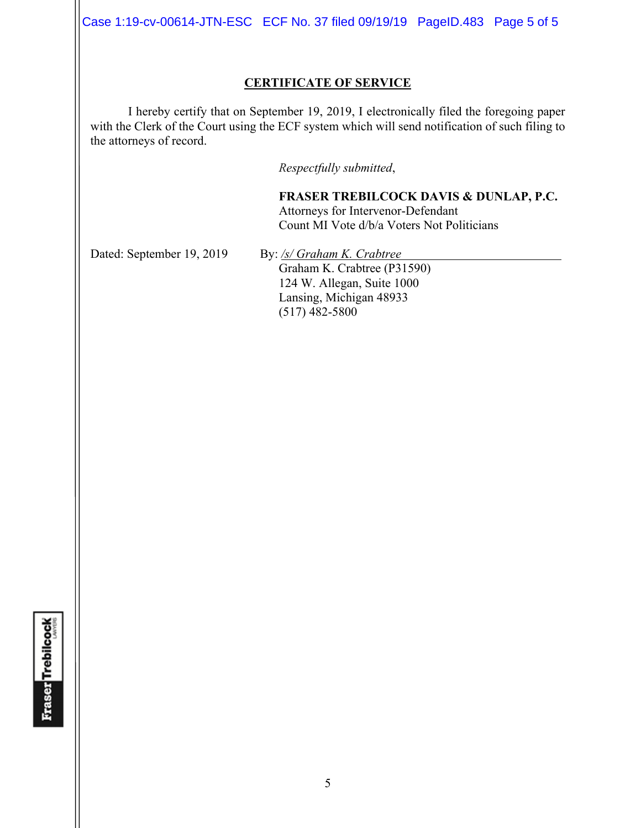Case 1:19-cv-00614-JTN-ESC ECF No. 37 filed 09/19/19 PageID.483 Page 5 of 5

### **CERTIFICATE OF SERVICE**

I hereby certify that on September 19, 2019, I electronically filed the foregoing paper with the Clerk of the Court using the ECF system which will send notification of such filing to the attorneys of record.

*Respectfully submitted*,

**FRASER TREBILCOCK DAVIS & DUNLAP, P.C.** Attorneys for Intervenor-Defendant Count MI Vote d/b/a Voters Not Politicians

Dated: September 19, 2019 By: /s/ Graham K. Crabtree

Graham K. Crabtree (P31590) 124 W. Allegan, Suite 1000 Lansing, Michigan 48933 (517) 482-5800

**Fraser** Trebilcock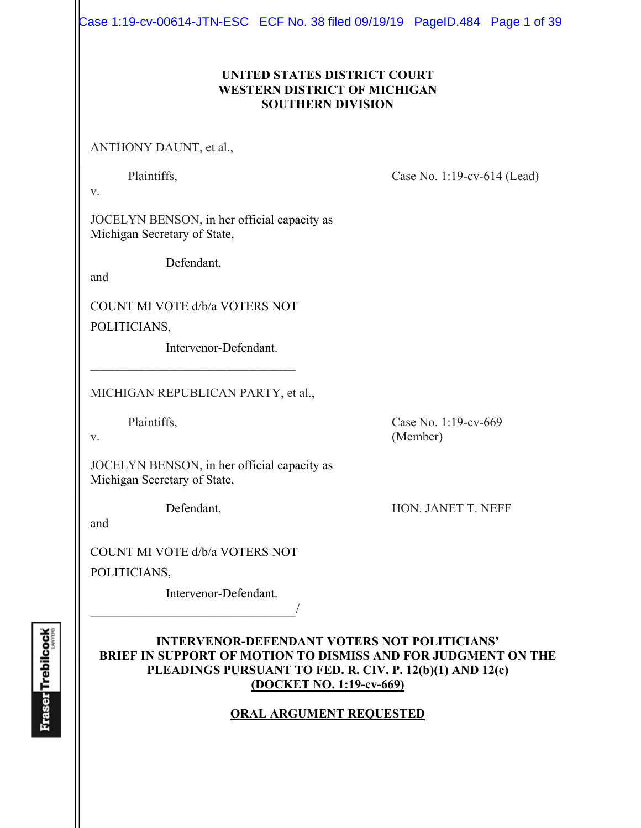Case 1:19-cv-00614-JTN-ESC ECF No. 38 filed 09/19/19 PageID.484 Page 1 of 39

### **UNITED STATES DISTRICT COURT WESTERN DISTRICT OF MICHIGAN SOUTHERN DIVISION**

ANTHONY DAUNT, et al.,

Plaintiffs, Case No. 1:19-cv-614 (Lead)

v.

JOCELYN BENSON, in her official capacity as Michigan Secretary of State,

Defendant,

and

COUNT MI VOTE d/b/a VOTERS NOT

 $\mathcal{L}_\text{max}$  , where  $\mathcal{L}_\text{max}$  , we have the set of  $\mathcal{L}_\text{max}$ 

POLITICIANS,

Intervenor-Defendant.

MICHIGAN REPUBLICAN PARTY, et al.,

Plaintiffs, Case No. 1:19-cv-669

v. (Member)

JOCELYN BENSON, in her official capacity as Michigan Secretary of State,

Defendant, HON. JANET T. NEFF

and

COUNT MI VOTE d/b/a VOTERS NOT

 $\overline{\phantom{a}}$ 

POLITICIANS,

Intervenor-Defendant.

### **INTERVENOR-DEFENDANT VOTERS NOT POLITICIANS' BRIEF IN SUPPORT OF MOTION TO DISMISS AND FOR JUDGMENT ON THE PLEADINGS PURSUANT TO FED. R. CIV. P. 12(b)(1) AND 12(c) (DOCKET NO. 1:19-cv-669)**

# **ORAL ARGUMENT REQUESTED**

**Fraser Trebilcock**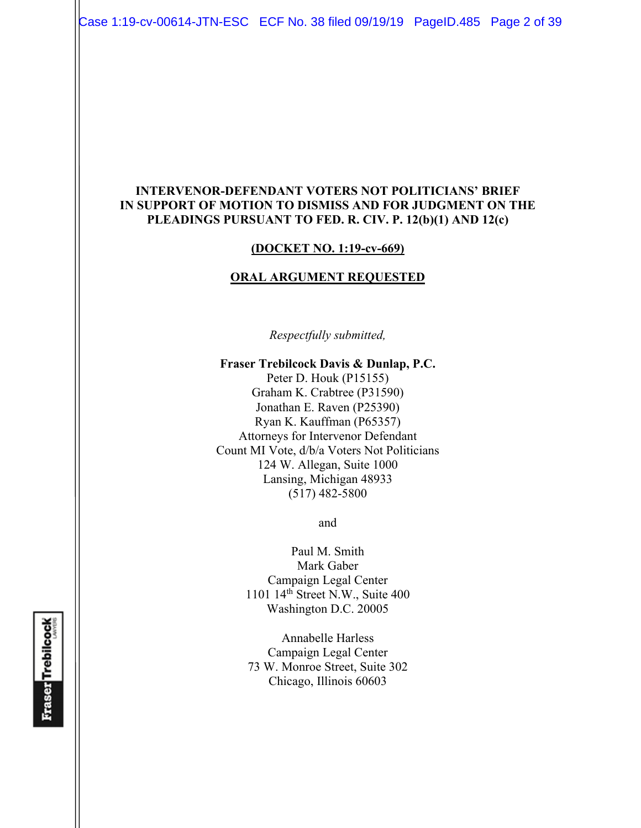Case 1:19-cv-00614-JTN-ESC ECF No. 38 filed 09/19/19 PageID.485 Page 2 of 39

### **INTERVENOR-DEFENDANT VOTERS NOT POLITICIANS' BRIEF IN SUPPORT OF MOTION TO DISMISS AND FOR JUDGMENT ON THE PLEADINGS PURSUANT TO FED. R. CIV. P. 12(b)(1) AND 12(c)**

#### **(DOCKET NO. 1:19-cv-669)**

#### **ORAL ARGUMENT REQUESTED**

*Respectfully submitted,* 

#### **Fraser Trebilcock Davis & Dunlap, P.C.**

Peter D. Houk (P15155) Graham K. Crabtree (P31590) Jonathan E. Raven (P25390) Ryan K. Kauffman (P65357) Attorneys for Intervenor Defendant Count MI Vote, d/b/a Voters Not Politicians 124 W. Allegan, Suite 1000 Lansing, Michigan 48933 (517) 482-5800

and

Paul M. Smith Mark Gaber Campaign Legal Center 1101 14th Street N.W., Suite 400 Washington D.C. 20005

Annabelle Harless Campaign Legal Center 73 W. Monroe Street, Suite 302 Chicago, Illinois 60603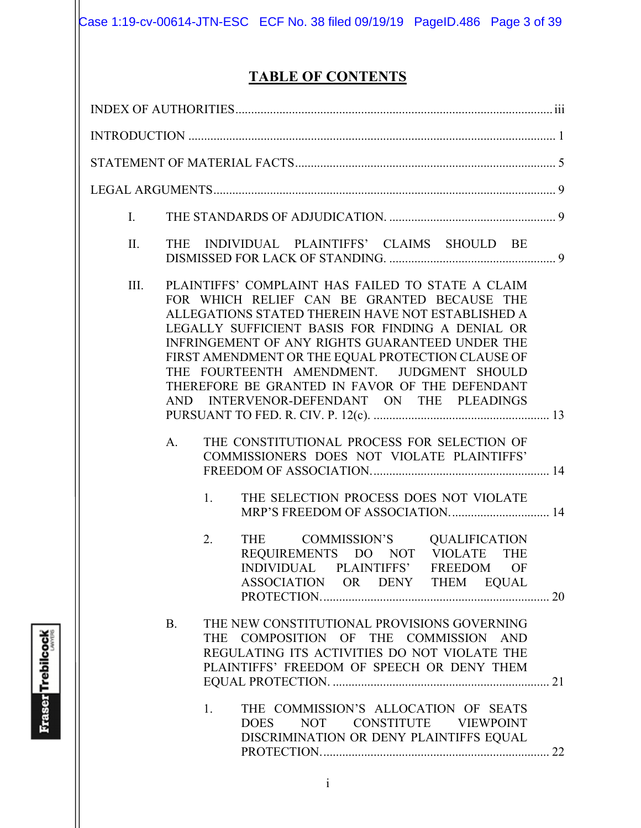# **TABLE OF CONTENTS**

| I.   |           |                                                                                                                                                                                                                                                                                                                                                                                                                                                               |  |  |
|------|-----------|---------------------------------------------------------------------------------------------------------------------------------------------------------------------------------------------------------------------------------------------------------------------------------------------------------------------------------------------------------------------------------------------------------------------------------------------------------------|--|--|
| II.  |           | THE INDIVIDUAL PLAINTIFFS' CLAIMS SHOULD BE                                                                                                                                                                                                                                                                                                                                                                                                                   |  |  |
| III. |           | PLAINTIFFS' COMPLAINT HAS FAILED TO STATE A CLAIM<br>FOR WHICH RELIEF CAN BE GRANTED BECAUSE THE<br>ALLEGATIONS STATED THEREIN HAVE NOT ESTABLISHED A<br>LEGALLY SUFFICIENT BASIS FOR FINDING A DENIAL OR<br>INFRINGEMENT OF ANY RIGHTS GUARANTEED UNDER THE<br>FIRST AMENDMENT OR THE EQUAL PROTECTION CLAUSE OF<br>THE FOURTEENTH AMENDMENT. JUDGMENT SHOULD<br>THEREFORE BE GRANTED IN FAVOR OF THE DEFENDANT<br>AND INTERVENOR-DEFENDANT ON THE PLEADINGS |  |  |
|      | A.        | THE CONSTITUTIONAL PROCESS FOR SELECTION OF<br>COMMISSIONERS DOES NOT VIOLATE PLAINTIFFS'<br>THE SELECTION PROCESS DOES NOT VIOLATE<br>1.<br>2.<br>THE COMMISSION'S QUALIFICATION<br>REQUIREMENTS DO NOT VIOLATE THE<br>INDIVIDUAL PLAINTIFFS' FREEDOM OF<br>ASSOCIATION OR DENY THEM EQUAL                                                                                                                                                                   |  |  |
|      | <b>B.</b> | THE NEW CONSTITUTIONAL PROVISIONS GOVERNING<br>THE COMPOSITION OF THE COMMISSION AND<br>REGULATING ITS ACTIVITIES DO NOT VIOLATE THE<br>PLAINTIFFS' FREEDOM OF SPEECH OR DENY THEM<br>THE COMMISSION'S ALLOCATION OF SEATS<br>1.<br>NOT CONSTITUTE VIEWPOINT<br><b>DOES</b><br>DISCRIMINATION OR DENY PLAINTIFFS EQUAL                                                                                                                                        |  |  |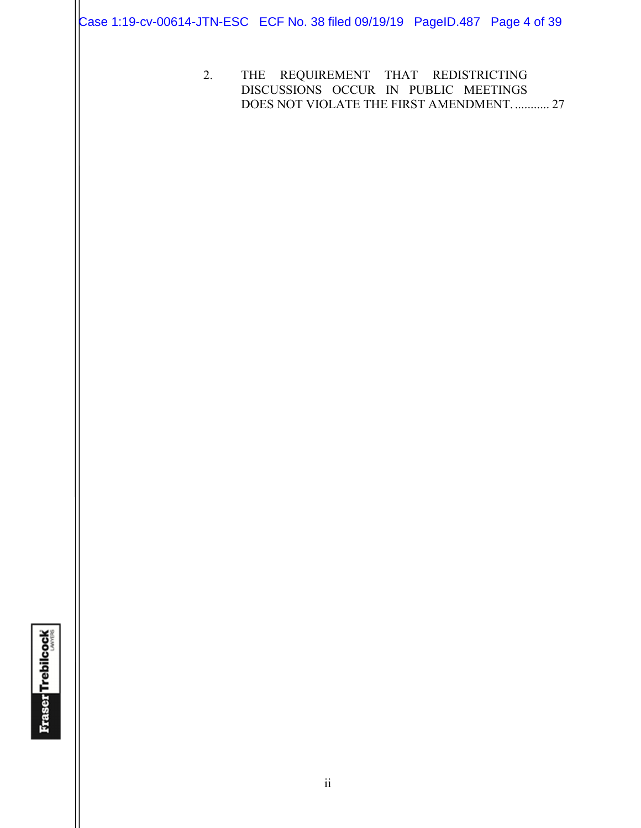Case 1:19-cv-00614-JTN-ESC ECF No. 38 filed 09/19/19 PageID.487 Page 4 of 39

2. THE REQUIREMENT THAT REDISTRICTING DISCUSSIONS OCCUR IN PUBLIC MEETINGS DOES NOT VIOLATE THE FIRST AMENDMENT. ........... 27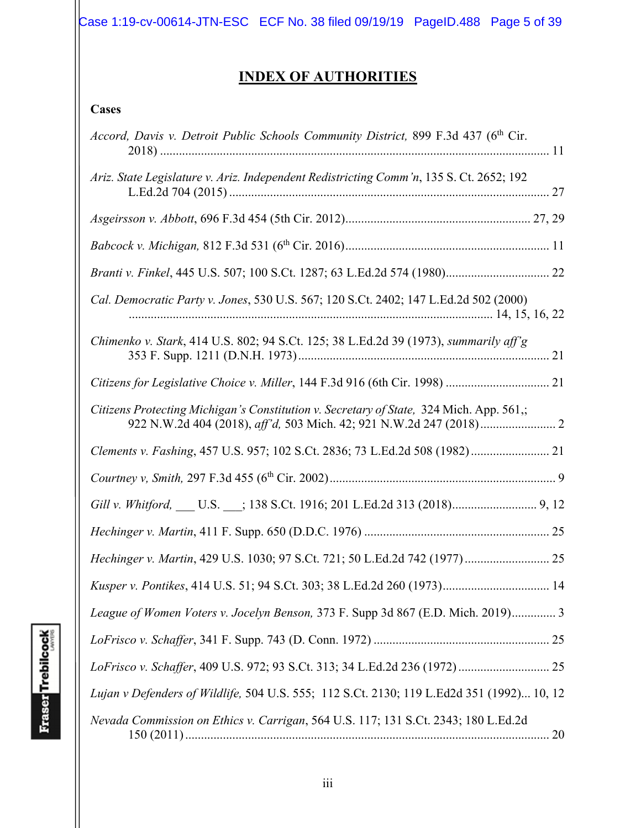Case 1:19-cv-00614-JTN-ESC ECF No. 38 filed 09/19/19 PageID.488 Page 5 of 39

# **INDEX OF AUTHORITIES**

### **Cases**

| Accord, Davis v. Detroit Public Schools Community District, 899 F.3d 437 (6 <sup>th</sup> Cir. |
|------------------------------------------------------------------------------------------------|
| Ariz. State Legislature v. Ariz. Independent Redistricting Comm'n, 135 S. Ct. 2652; 192        |
|                                                                                                |
|                                                                                                |
|                                                                                                |
| Cal. Democratic Party v. Jones, 530 U.S. 567; 120 S.Ct. 2402; 147 L.Ed.2d 502 (2000)           |
| Chimenko v. Stark, 414 U.S. 802; 94 S.Ct. 125; 38 L.Ed.2d 39 (1973), summarily aff'g           |
|                                                                                                |
| Citizens Protecting Michigan's Constitution v. Secretary of State, 324 Mich. App. 561,;        |
| Clements v. Fashing, 457 U.S. 957; 102 S.Ct. 2836; 73 L.Ed.2d 508 (1982) 21                    |
|                                                                                                |
|                                                                                                |
|                                                                                                |
| Hechinger v. Martin, 429 U.S. 1030; 97 S.Ct. 721; 50 L.Ed.2d 742 (1977) 25                     |
| Kusper v. Pontikes, 414 U.S. 51; 94 S.Ct. 303; 38 L.Ed.2d 260 (1973) 14                        |
| League of Women Voters v. Jocelyn Benson, 373 F. Supp 3d 867 (E.D. Mich. 2019) 3               |
|                                                                                                |
|                                                                                                |
| Lujan v Defenders of Wildlife, 504 U.S. 555; 112 S.Ct. 2130; 119 L.Ed2d 351 (1992) 10, 12      |
| Nevada Commission on Ethics v. Carrigan, 564 U.S. 117; 131 S.Ct. 2343; 180 L.Ed.2d             |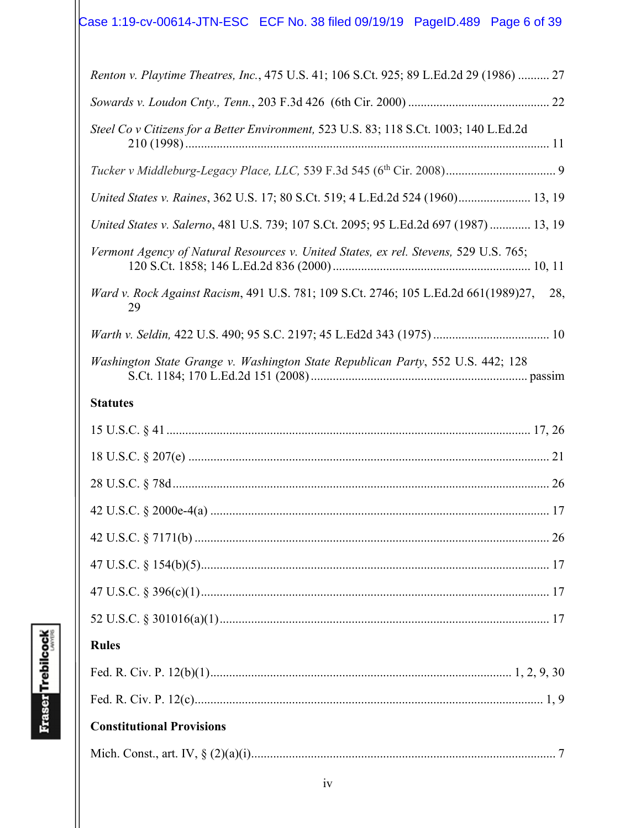| Renton v. Playtime Theatres, Inc., 475 U.S. 41; 106 S.Ct. 925; 89 L.Ed.2d 29 (1986)  27          |
|--------------------------------------------------------------------------------------------------|
|                                                                                                  |
| Steel Co v Citizens for a Better Environment, 523 U.S. 83; 118 S.Ct. 1003; 140 L.Ed.2d           |
|                                                                                                  |
| United States v. Raines, 362 U.S. 17; 80 S.Ct. 519; 4 L.Ed.2d 524 (1960) 13, 19                  |
| United States v. Salerno, 481 U.S. 739; 107 S.Ct. 2095; 95 L.Ed.2d 697 (1987)  13, 19            |
| Vermont Agency of Natural Resources v. United States, ex rel. Stevens, 529 U.S. 765;             |
| Ward v. Rock Against Racism, 491 U.S. 781; 109 S.Ct. 2746; 105 L.Ed.2d 661(1989)27,<br>28,<br>29 |
|                                                                                                  |
| Washington State Grange v. Washington State Republican Party, 552 U.S. 442; 128                  |
| <b>Statutes</b>                                                                                  |
|                                                                                                  |
|                                                                                                  |
|                                                                                                  |
|                                                                                                  |
|                                                                                                  |
|                                                                                                  |
|                                                                                                  |
|                                                                                                  |
|                                                                                                  |
| <b>Rules</b>                                                                                     |
|                                                                                                  |
|                                                                                                  |
| <b>Constitutional Provisions</b>                                                                 |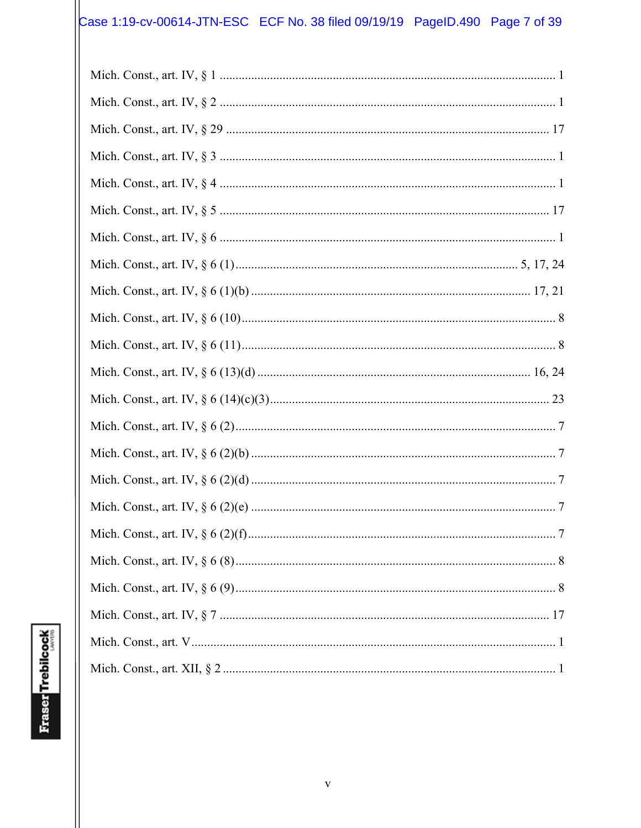# Case 1:19-cv-00614-JTN-ESC ECF No. 38 filed 09/19/19 PageID.490 Page 7 of 39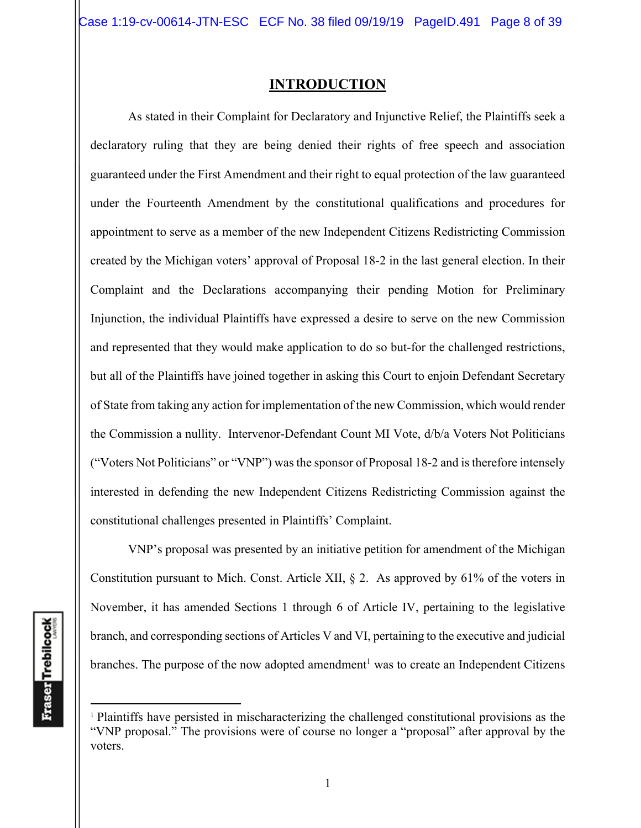### **INTRODUCTION**

As stated in their Complaint for Declaratory and Injunctive Relief, the Plaintiffs seek a declaratory ruling that they are being denied their rights of free speech and association guaranteed under the First Amendment and their right to equal protection of the law guaranteed under the Fourteenth Amendment by the constitutional qualifications and procedures for appointment to serve as a member of the new Independent Citizens Redistricting Commission created by the Michigan voters' approval of Proposal 18-2 in the last general election. In their Complaint and the Declarations accompanying their pending Motion for Preliminary Injunction, the individual Plaintiffs have expressed a desire to serve on the new Commission and represented that they would make application to do so but-for the challenged restrictions, but all of the Plaintiffs have joined together in asking this Court to enjoin Defendant Secretary of State from taking any action for implementation of the new Commission, which would render the Commission a nullity. Intervenor-Defendant Count MI Vote, d/b/a Voters Not Politicians ("Voters Not Politicians" or "VNP") was the sponsor of Proposal 18-2 and is therefore intensely interested in defending the new Independent Citizens Redistricting Commission against the constitutional challenges presented in Plaintiffs' Complaint.

VNP's proposal was presented by an initiative petition for amendment of the Michigan Constitution pursuant to Mich. Const. Article XII, § 2. As approved by 61% of the voters in November, it has amended Sections 1 through 6 of Article IV, pertaining to the legislative branch, and corresponding sections of Articles V and VI, pertaining to the executive and judicial branches. The purpose of the now adopted amendment<sup>1</sup> was to create an Independent Citizens

<sup>1</sup> Plaintiffs have persisted in mischaracterizing the challenged constitutional provisions as the "VNP proposal." The provisions were of course no longer a "proposal" after approval by the voters.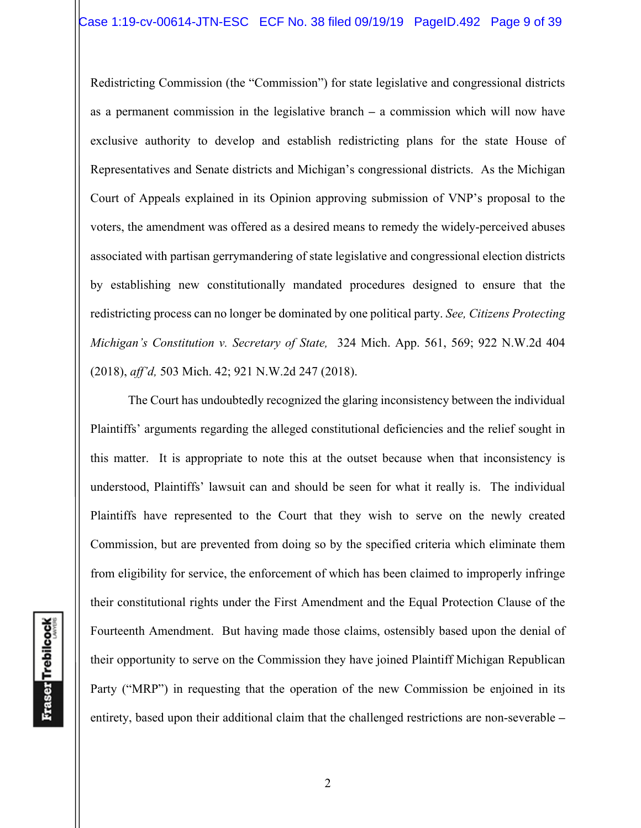Redistricting Commission (the "Commission") for state legislative and congressional districts as a permanent commission in the legislative branch **–** a commission which will now have exclusive authority to develop and establish redistricting plans for the state House of Representatives and Senate districts and Michigan's congressional districts. As the Michigan Court of Appeals explained in its Opinion approving submission of VNP's proposal to the voters, the amendment was offered as a desired means to remedy the widely-perceived abuses associated with partisan gerrymandering of state legislative and congressional election districts by establishing new constitutionally mandated procedures designed to ensure that the redistricting process can no longer be dominated by one political party. *See, Citizens Protecting Michigan's Constitution v. Secretary of State,* 324 Mich. App. 561, 569; 922 N.W.2d 404 (2018), *aff'd,* 503 Mich. 42; 921 N.W.2d 247 (2018).

The Court has undoubtedly recognized the glaring inconsistency between the individual Plaintiffs' arguments regarding the alleged constitutional deficiencies and the relief sought in this matter. It is appropriate to note this at the outset because when that inconsistency is understood, Plaintiffs' lawsuit can and should be seen for what it really is. The individual Plaintiffs have represented to the Court that they wish to serve on the newly created Commission, but are prevented from doing so by the specified criteria which eliminate them from eligibility for service, the enforcement of which has been claimed to improperly infringe their constitutional rights under the First Amendment and the Equal Protection Clause of the Fourteenth Amendment. But having made those claims, ostensibly based upon the denial of their opportunity to serve on the Commission they have joined Plaintiff Michigan Republican Party ("MRP") in requesting that the operation of the new Commission be enjoined in its entirety, based upon their additional claim that the challenged restrictions are non-severable **–**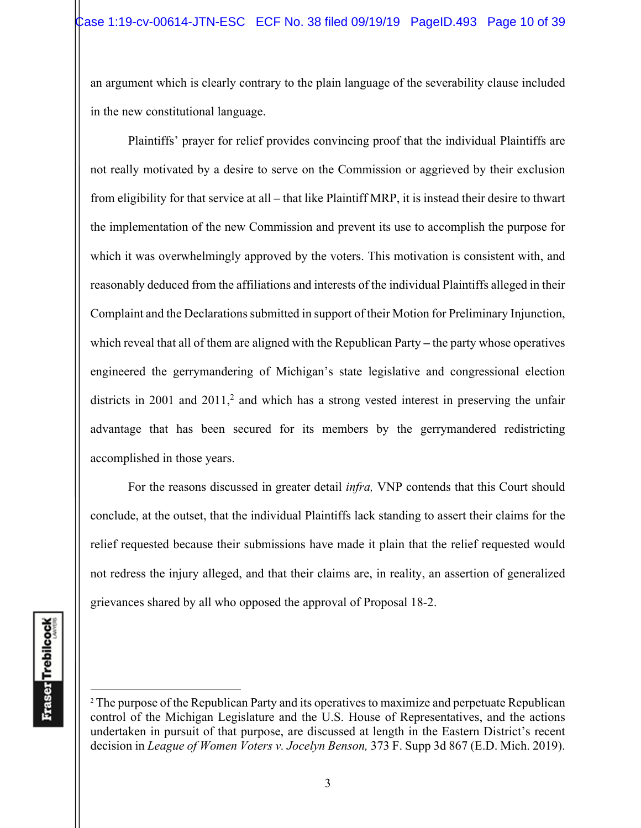an argument which is clearly contrary to the plain language of the severability clause included in the new constitutional language.

Plaintiffs' prayer for relief provides convincing proof that the individual Plaintiffs are not really motivated by a desire to serve on the Commission or aggrieved by their exclusion from eligibility for that service at all **–** that like Plaintiff MRP, it is instead their desire to thwart the implementation of the new Commission and prevent its use to accomplish the purpose for which it was overwhelmingly approved by the voters. This motivation is consistent with, and reasonably deduced from the affiliations and interests of the individual Plaintiffs alleged in their Complaint and the Declarations submitted in support of their Motion for Preliminary Injunction, which reveal that all of them are aligned with the Republican Party **–** the party whose operatives engineered the gerrymandering of Michigan's state legislative and congressional election districts in 2001 and 2011,<sup>2</sup> and which has a strong vested interest in preserving the unfair advantage that has been secured for its members by the gerrymandered redistricting accomplished in those years.

For the reasons discussed in greater detail *infra,* VNP contends that this Court should conclude, at the outset, that the individual Plaintiffs lack standing to assert their claims for the relief requested because their submissions have made it plain that the relief requested would not redress the injury alleged, and that their claims are, in reality, an assertion of generalized grievances shared by all who opposed the approval of Proposal 18-2.

<sup>&</sup>lt;sup>2</sup> The purpose of the Republican Party and its operatives to maximize and perpetuate Republican control of the Michigan Legislature and the U.S. House of Representatives, and the actions undertaken in pursuit of that purpose, are discussed at length in the Eastern District's recent decision in *League of Women Voters v. Jocelyn Benson,* 373 F. Supp 3d 867 (E.D. Mich. 2019).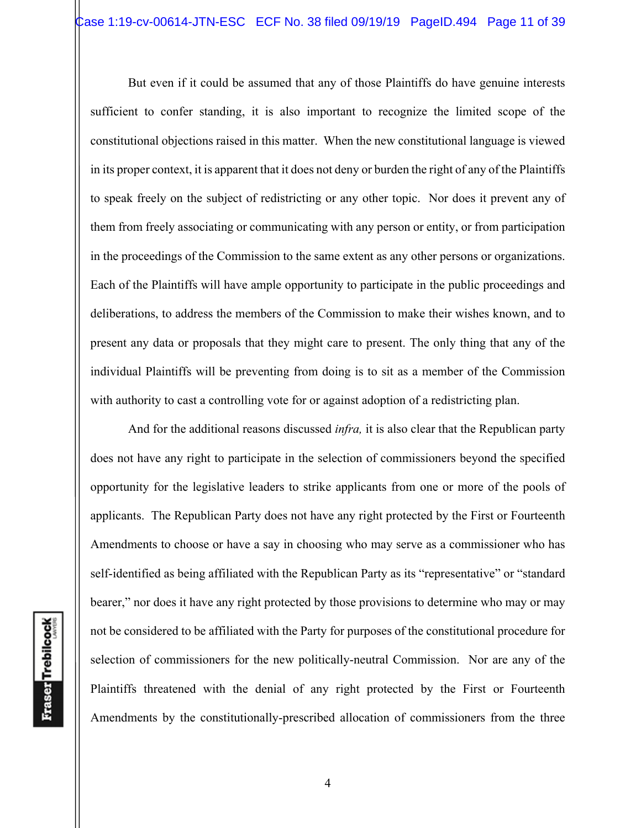But even if it could be assumed that any of those Plaintiffs do have genuine interests sufficient to confer standing, it is also important to recognize the limited scope of the constitutional objections raised in this matter. When the new constitutional language is viewed in its proper context, it is apparent that it does not deny or burden the right of any of the Plaintiffs to speak freely on the subject of redistricting or any other topic. Nor does it prevent any of them from freely associating or communicating with any person or entity, or from participation in the proceedings of the Commission to the same extent as any other persons or organizations. Each of the Plaintiffs will have ample opportunity to participate in the public proceedings and deliberations, to address the members of the Commission to make their wishes known, and to present any data or proposals that they might care to present. The only thing that any of the individual Plaintiffs will be preventing from doing is to sit as a member of the Commission with authority to cast a controlling vote for or against adoption of a redistricting plan.

And for the additional reasons discussed *infra,* it is also clear that the Republican party does not have any right to participate in the selection of commissioners beyond the specified opportunity for the legislative leaders to strike applicants from one or more of the pools of applicants. The Republican Party does not have any right protected by the First or Fourteenth Amendments to choose or have a say in choosing who may serve as a commissioner who has self-identified as being affiliated with the Republican Party as its "representative" or "standard bearer," nor does it have any right protected by those provisions to determine who may or may not be considered to be affiliated with the Party for purposes of the constitutional procedure for selection of commissioners for the new politically-neutral Commission. Nor are any of the Plaintiffs threatened with the denial of any right protected by the First or Fourteenth Amendments by the constitutionally-prescribed allocation of commissioners from the three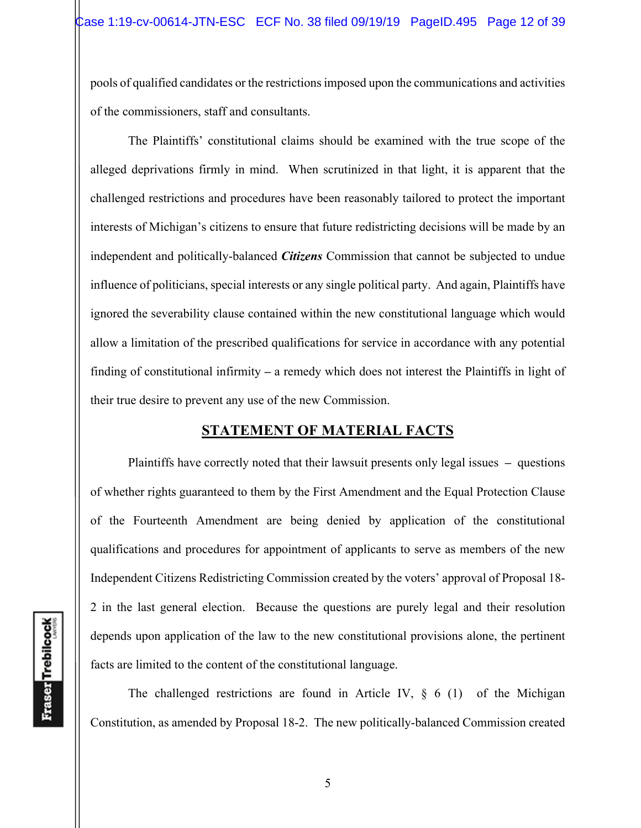pools of qualified candidates or the restrictions imposed upon the communications and activities of the commissioners, staff and consultants.

The Plaintiffs' constitutional claims should be examined with the true scope of the alleged deprivations firmly in mind. When scrutinized in that light, it is apparent that the challenged restrictions and procedures have been reasonably tailored to protect the important interests of Michigan's citizens to ensure that future redistricting decisions will be made by an independent and politically-balanced *Citizens* Commission that cannot be subjected to undue influence of politicians, special interests or any single political party. And again, Plaintiffs have ignored the severability clause contained within the new constitutional language which would allow a limitation of the prescribed qualifications for service in accordance with any potential finding of constitutional infirmity **–** a remedy which does not interest the Plaintiffs in light of their true desire to prevent any use of the new Commission.

### **STATEMENT OF MATERIAL FACTS**

 Plaintiffs have correctly noted that their lawsuit presents only legal issues **–** questions of whether rights guaranteed to them by the First Amendment and the Equal Protection Clause of the Fourteenth Amendment are being denied by application of the constitutional qualifications and procedures for appointment of applicants to serve as members of the new Independent Citizens Redistricting Commission created by the voters' approval of Proposal 18- 2 in the last general election. Because the questions are purely legal and their resolution depends upon application of the law to the new constitutional provisions alone, the pertinent facts are limited to the content of the constitutional language.

The challenged restrictions are found in Article IV,  $\S$  6 (1) of the Michigan Constitution, as amended by Proposal 18-2. The new politically-balanced Commission created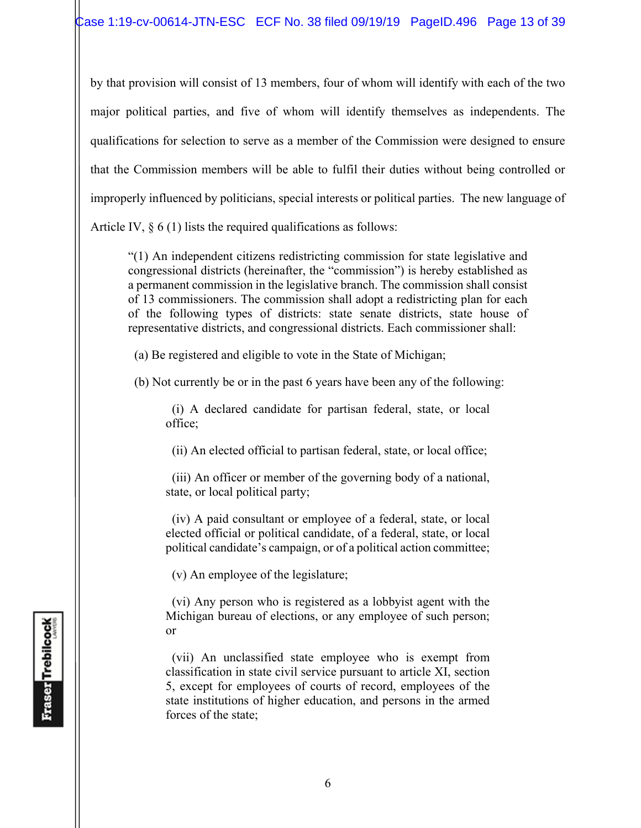by that provision will consist of 13 members, four of whom will identify with each of the two major political parties, and five of whom will identify themselves as independents. The qualifications for selection to serve as a member of the Commission were designed to ensure that the Commission members will be able to fulfil their duties without being controlled or improperly influenced by politicians, special interests or political parties. The new language of

Article IV, § 6 (1) lists the required qualifications as follows:

"(1) An independent citizens redistricting commission for state legislative and congressional districts (hereinafter, the "commission") is hereby established as a permanent commission in the legislative branch. The commission shall consist of 13 commissioners. The commission shall adopt a redistricting plan for each of the following types of districts: state senate districts, state house of representative districts, and congressional districts. Each commissioner shall:

(a) Be registered and eligible to vote in the State of Michigan;

(b) Not currently be or in the past 6 years have been any of the following:

 (i) A declared candidate for partisan federal, state, or local office;

(ii) An elected official to partisan federal, state, or local office;

 (iii) An officer or member of the governing body of a national, state, or local political party;

 (iv) A paid consultant or employee of a federal, state, or local elected official or political candidate, of a federal, state, or local political candidate's campaign, or of a political action committee;

(v) An employee of the legislature;

 (vi) Any person who is registered as a lobbyist agent with the Michigan bureau of elections, or any employee of such person; or

 (vii) An unclassified state employee who is exempt from classification in state civil service pursuant to article XI, section 5, except for employees of courts of record, employees of the state institutions of higher education, and persons in the armed forces of the state;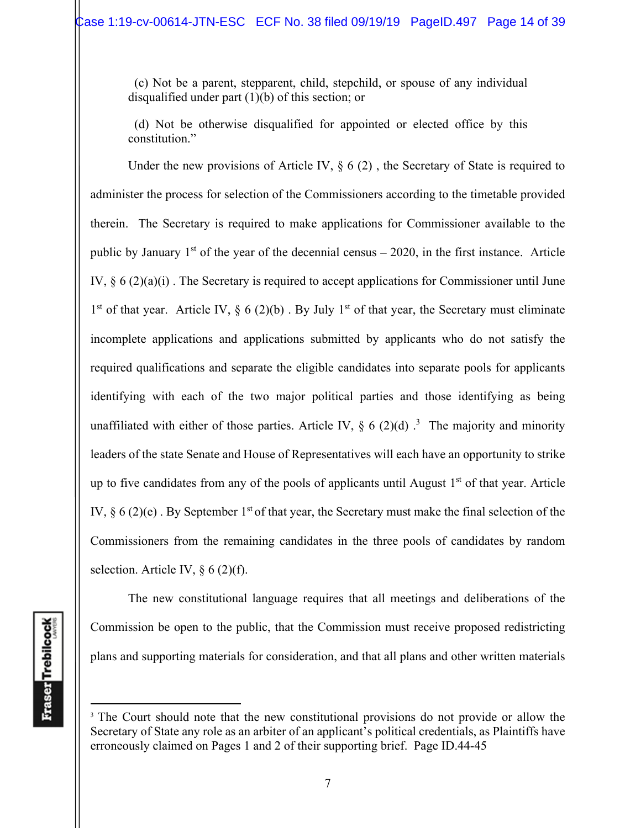(c) Not be a parent, stepparent, child, stepchild, or spouse of any individual disqualified under part (1)(b) of this section; or

 (d) Not be otherwise disqualified for appointed or elected office by this constitution."

Under the new provisions of Article IV,  $\S 6(2)$ , the Secretary of State is required to administer the process for selection of the Commissioners according to the timetable provided therein. The Secretary is required to make applications for Commissioner available to the public by January 1st of the year of the decennial census **–** 2020, in the first instance. Article IV,  $\S 6 (2)(a)(i)$ . The Secretary is required to accept applications for Commissioner until June 1<sup>st</sup> of that year. Article IV,  $\S 6 (2)(b)$ . By July 1<sup>st</sup> of that year, the Secretary must eliminate incomplete applications and applications submitted by applicants who do not satisfy the required qualifications and separate the eligible candidates into separate pools for applicants identifying with each of the two major political parties and those identifying as being unaffiliated with either of those parties. Article IV,  $\S 6 (2)(d)$ .<sup>3</sup> The majority and minority leaders of the state Senate and House of Representatives will each have an opportunity to strike up to five candidates from any of the pools of applicants until August  $1<sup>st</sup>$  of that year. Article IV,  $\S 6 (2)(e)$ . By September 1<sup>st</sup> of that year, the Secretary must make the final selection of the Commissioners from the remaining candidates in the three pools of candidates by random selection. Article IV,  $\S 6 (2)(f)$ .

 The new constitutional language requires that all meetings and deliberations of the Commission be open to the public, that the Commission must receive proposed redistricting plans and supporting materials for consideration, and that all plans and other written materials

<sup>&</sup>lt;sup>3</sup> The Court should note that the new constitutional provisions do not provide or allow the Secretary of State any role as an arbiter of an applicant's political credentials, as Plaintiffs have erroneously claimed on Pages 1 and 2 of their supporting brief. Page ID.44-45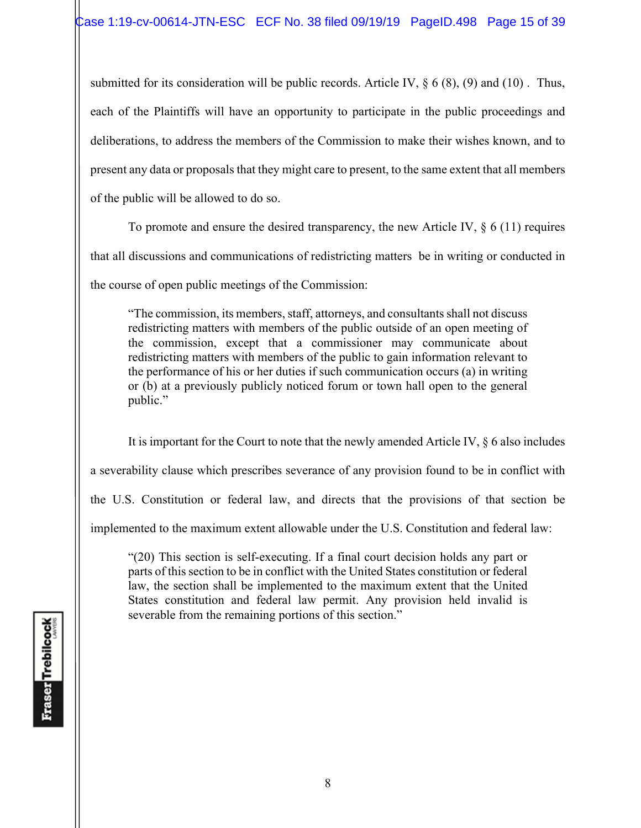submitted for its consideration will be public records. Article IV,  $\S 6 (8)$ , (9) and (10). Thus, each of the Plaintiffs will have an opportunity to participate in the public proceedings and deliberations, to address the members of the Commission to make their wishes known, and to present any data or proposals that they might care to present, to the same extent that all members of the public will be allowed to do so.

To promote and ensure the desired transparency, the new Article IV,  $\S$  6 (11) requires that all discussions and communications of redistricting matters be in writing or conducted in the course of open public meetings of the Commission:

"The commission, its members, staff, attorneys, and consultants shall not discuss redistricting matters with members of the public outside of an open meeting of the commission, except that a commissioner may communicate about redistricting matters with members of the public to gain information relevant to the performance of his or her duties if such communication occurs (a) in writing or (b) at a previously publicly noticed forum or town hall open to the general public."

 It is important for the Court to note that the newly amended Article IV, § 6 also includes a severability clause which prescribes severance of any provision found to be in conflict with the U.S. Constitution or federal law, and directs that the provisions of that section be implemented to the maximum extent allowable under the U.S. Constitution and federal law:

"(20) This section is self-executing. If a final court decision holds any part or parts of this section to be in conflict with the United States constitution or federal law, the section shall be implemented to the maximum extent that the United States constitution and federal law permit. Any provision held invalid is severable from the remaining portions of this section."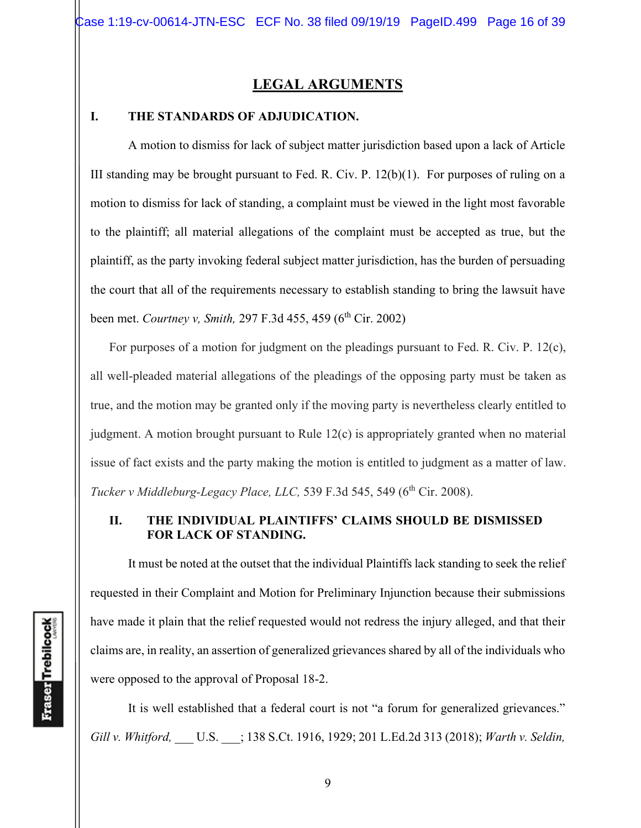## **LEGAL ARGUMENTS**

### **I. THE STANDARDS OF ADJUDICATION.**

A motion to dismiss for lack of subject matter jurisdiction based upon a lack of Article III standing may be brought pursuant to Fed. R. Civ. P. 12(b)(1). For purposes of ruling on a motion to dismiss for lack of standing, a complaint must be viewed in the light most favorable to the plaintiff; all material allegations of the complaint must be accepted as true, but the plaintiff, as the party invoking federal subject matter jurisdiction, has the burden of persuading the court that all of the requirements necessary to establish standing to bring the lawsuit have been met. *Courtney v, Smith, 297 F.3d 455, 459 (6<sup>th</sup> Cir. 2002)* 

For purposes of a motion for judgment on the pleadings pursuant to Fed. R. Civ. P. 12(c), all well-pleaded material allegations of the pleadings of the opposing party must be taken as true, and the motion may be granted only if the moving party is nevertheless clearly entitled to judgment. A motion brought pursuant to Rule 12(c) is appropriately granted when no material issue of fact exists and the party making the motion is entitled to judgment as a matter of law. *Tucker v Middleburg-Legacy Place, LLC,* 539 F.3d 545, 549 (6<sup>th</sup> Cir. 2008).

### **II. THE INDIVIDUAL PLAINTIFFS' CLAIMS SHOULD BE DISMISSED FOR LACK OF STANDING.**

It must be noted at the outset that the individual Plaintiffs lack standing to seek the relief requested in their Complaint and Motion for Preliminary Injunction because their submissions have made it plain that the relief requested would not redress the injury alleged, and that their claims are, in reality, an assertion of generalized grievances shared by all of the individuals who were opposed to the approval of Proposal 18-2.

It is well established that a federal court is not "a forum for generalized grievances." *Gill v. Whitford,* \_\_\_ U.S. \_\_\_; 138 S.Ct. 1916, 1929; 201 L.Ed.2d 313 (2018); *Warth v. Seldin,* 

**Fraser** Trebilcock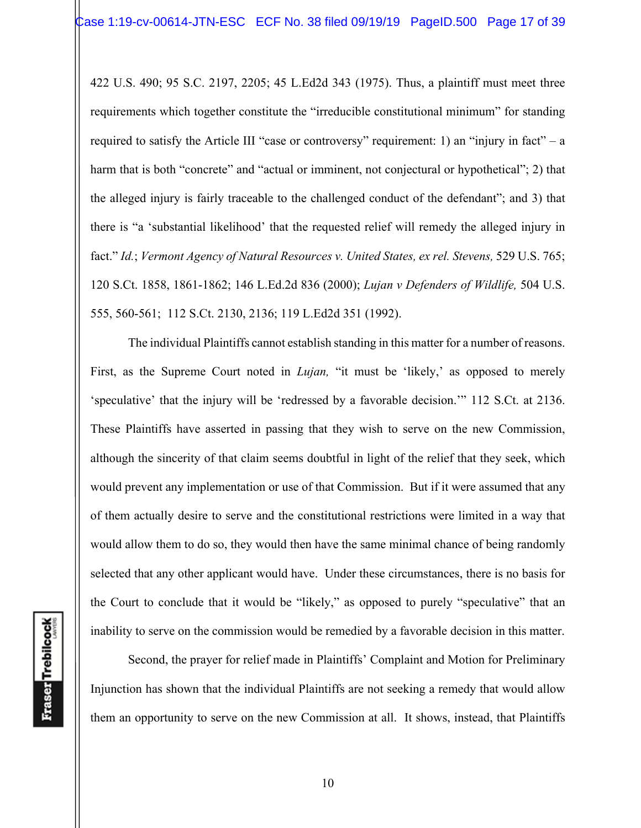422 U.S. 490; 95 S.C. 2197, 2205; 45 L.Ed2d 343 (1975). Thus, a plaintiff must meet three requirements which together constitute the "irreducible constitutional minimum" for standing required to satisfy the Article III "case or controversy" requirement: 1) an "injury in fact" – a harm that is both "concrete" and "actual or imminent, not conjectural or hypothetical"; 2) that the alleged injury is fairly traceable to the challenged conduct of the defendant"; and 3) that there is "a 'substantial likelihood' that the requested relief will remedy the alleged injury in fact." *Id.*; *Vermont Agency of Natural Resources v. United States, ex rel. Stevens, 529 U.S. 765;* 120 S.Ct. 1858, 1861-1862; 146 L.Ed.2d 836 (2000); *Lujan v Defenders of Wildlife,* 504 U.S. 555, 560-561;112 S.Ct. 2130, 2136; 119 L.Ed2d 351 (1992).

The individual Plaintiffs cannot establish standing in this matter for a number of reasons. First, as the Supreme Court noted in *Lujan*, "it must be 'likely,' as opposed to merely 'speculative' that the injury will be 'redressed by a favorable decision.'" 112 S.Ct. at 2136. These Plaintiffs have asserted in passing that they wish to serve on the new Commission, although the sincerity of that claim seems doubtful in light of the relief that they seek, which would prevent any implementation or use of that Commission. But if it were assumed that any of them actually desire to serve and the constitutional restrictions were limited in a way that would allow them to do so, they would then have the same minimal chance of being randomly selected that any other applicant would have. Under these circumstances, there is no basis for the Court to conclude that it would be "likely," as opposed to purely "speculative" that an inability to serve on the commission would be remedied by a favorable decision in this matter.

Second, the prayer for relief made in Plaintiffs' Complaint and Motion for Preliminary Injunction has shown that the individual Plaintiffs are not seeking a remedy that would allow them an opportunity to serve on the new Commission at all. It shows, instead, that Plaintiffs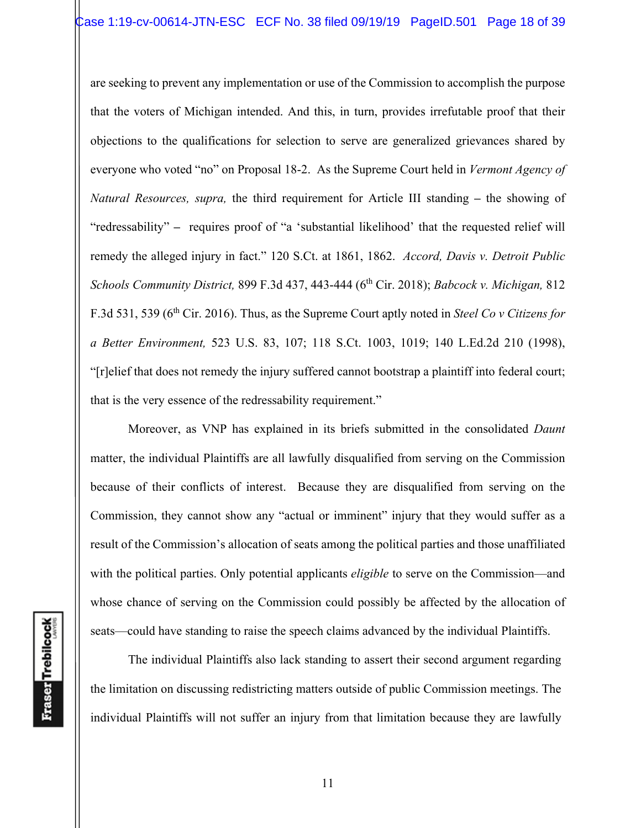are seeking to prevent any implementation or use of the Commission to accomplish the purpose that the voters of Michigan intended. And this, in turn, provides irrefutable proof that their objections to the qualifications for selection to serve are generalized grievances shared by everyone who voted "no" on Proposal 18-2. As the Supreme Court held in *Vermont Agency of Natural Resources, supra,* the third requirement for Article III standing **–** the showing of "redressability" **–** requires proof of "a 'substantial likelihood' that the requested relief will remedy the alleged injury in fact." 120 S.Ct. at 1861, 1862. *Accord, Davis v. Detroit Public Schools Community District,* 899 F.3d 437, 443-444 (6th Cir. 2018); *Babcock v. Michigan,* 812 F.3d 531, 539 (6th Cir. 2016). Thus, as the Supreme Court aptly noted in *Steel Co v Citizens for a Better Environment,* 523 U.S. 83, 107; 118 S.Ct. 1003, 1019; 140 L.Ed.2d 210 (1998), "[r]elief that does not remedy the injury suffered cannot bootstrap a plaintiff into federal court; that is the very essence of the redressability requirement."

Moreover, as VNP has explained in its briefs submitted in the consolidated *Daunt*  matter, the individual Plaintiffs are all lawfully disqualified from serving on the Commission because of their conflicts of interest. Because they are disqualified from serving on the Commission, they cannot show any "actual or imminent" injury that they would suffer as a result of the Commission's allocation of seats among the political parties and those unaffiliated with the political parties. Only potential applicants *eligible* to serve on the Commission—and whose chance of serving on the Commission could possibly be affected by the allocation of seats—could have standing to raise the speech claims advanced by the individual Plaintiffs.

 The individual Plaintiffs also lack standing to assert their second argument regarding the limitation on discussing redistricting matters outside of public Commission meetings. The individual Plaintiffs will not suffer an injury from that limitation because they are lawfully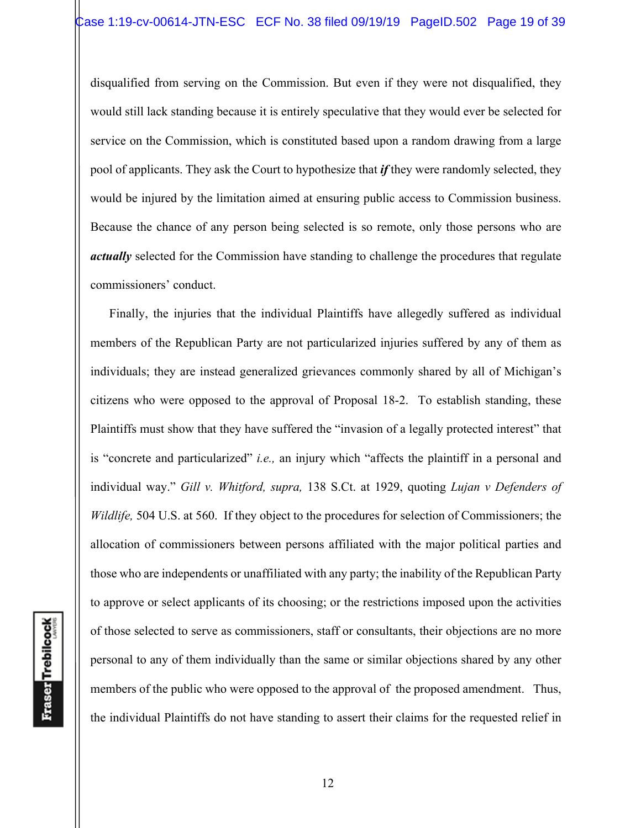disqualified from serving on the Commission. But even if they were not disqualified, they would still lack standing because it is entirely speculative that they would ever be selected for service on the Commission, which is constituted based upon a random drawing from a large pool of applicants. They ask the Court to hypothesize that *if* they were randomly selected, they would be injured by the limitation aimed at ensuring public access to Commission business. Because the chance of any person being selected is so remote, only those persons who are *actually* selected for the Commission have standing to challenge the procedures that regulate commissioners' conduct.

Finally, the injuries that the individual Plaintiffs have allegedly suffered as individual members of the Republican Party are not particularized injuries suffered by any of them as individuals; they are instead generalized grievances commonly shared by all of Michigan's citizens who were opposed to the approval of Proposal 18-2. To establish standing, these Plaintiffs must show that they have suffered the "invasion of a legally protected interest" that is "concrete and particularized" *i.e.,* an injury which "affects the plaintiff in a personal and individual way." *Gill v. Whitford, supra,* 138 S.Ct. at 1929, quoting *Lujan v Defenders of Wildlife,* 504 U.S. at 560. If they object to the procedures for selection of Commissioners; the allocation of commissioners between persons affiliated with the major political parties and those who are independents or unaffiliated with any party; the inability of the Republican Party to approve or select applicants of its choosing; or the restrictions imposed upon the activities of those selected to serve as commissioners, staff or consultants, their objections are no more personal to any of them individually than the same or similar objections shared by any other members of the public who were opposed to the approval of the proposed amendment. Thus, the individual Plaintiffs do not have standing to assert their claims for the requested relief in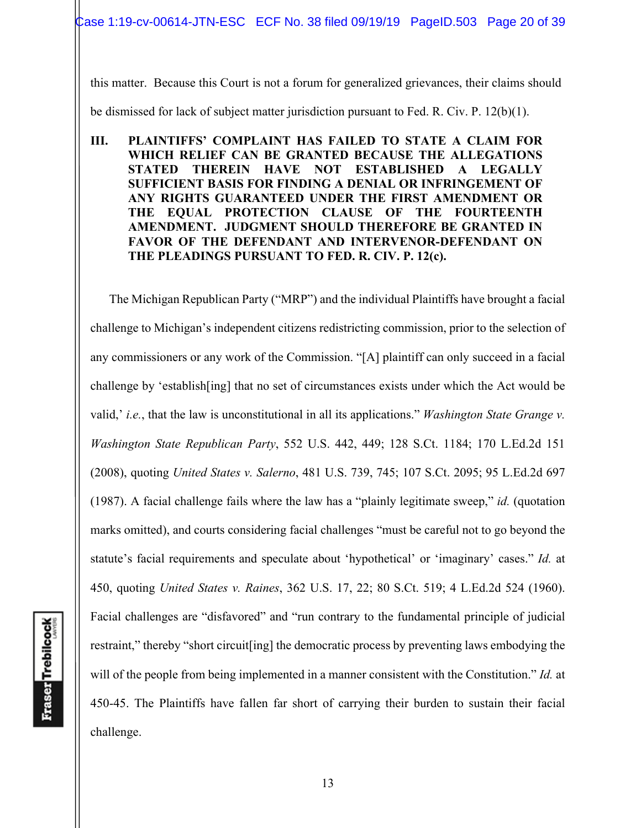Case 1:19-cv-00614-JTN-ESC ECF No. 38 filed 09/19/19 PageID.503 Page 20 of 39

this matter. Because this Court is not a forum for generalized grievances, their claims should be dismissed for lack of subject matter jurisdiction pursuant to Fed. R. Civ. P. 12(b)(1).

**III. PLAINTIFFS' COMPLAINT HAS FAILED TO STATE A CLAIM FOR WHICH RELIEF CAN BE GRANTED BECAUSE THE ALLEGATIONS STATED THEREIN HAVE NOT ESTABLISHED A LEGALLY SUFFICIENT BASIS FOR FINDING A DENIAL OR INFRINGEMENT OF ANY RIGHTS GUARANTEED UNDER THE FIRST AMENDMENT OR THE EQUAL PROTECTION CLAUSE OF THE FOURTEENTH AMENDMENT. JUDGMENT SHOULD THEREFORE BE GRANTED IN FAVOR OF THE DEFENDANT AND INTERVENOR-DEFENDANT ON THE PLEADINGS PURSUANT TO FED. R. CIV. P. 12(c).** 

The Michigan Republican Party ("MRP") and the individual Plaintiffs have brought a facial challenge to Michigan's independent citizens redistricting commission, prior to the selection of any commissioners or any work of the Commission. "[A] plaintiff can only succeed in a facial challenge by 'establish[ing] that no set of circumstances exists under which the Act would be valid,' *i.e.*, that the law is unconstitutional in all its applications." *Washington State Grange v. Washington State Republican Party*, 552 U.S. 442, 449; 128 S.Ct. 1184; 170 L.Ed.2d 151 (2008), quoting *United States v. Salerno*, 481 U.S. 739, 745; 107 S.Ct. 2095; 95 L.Ed.2d 697 (1987). A facial challenge fails where the law has a "plainly legitimate sweep," *id.* (quotation marks omitted), and courts considering facial challenges "must be careful not to go beyond the statute's facial requirements and speculate about 'hypothetical' or 'imaginary' cases." *Id.* at 450, quoting *United States v. Raines*, 362 U.S. 17, 22; 80 S.Ct. 519; 4 L.Ed.2d 524 (1960). Facial challenges are "disfavored" and "run contrary to the fundamental principle of judicial restraint," thereby "short circuit[ing] the democratic process by preventing laws embodying the will of the people from being implemented in a manner consistent with the Constitution." *Id.* at 450-45. The Plaintiffs have fallen far short of carrying their burden to sustain their facial challenge.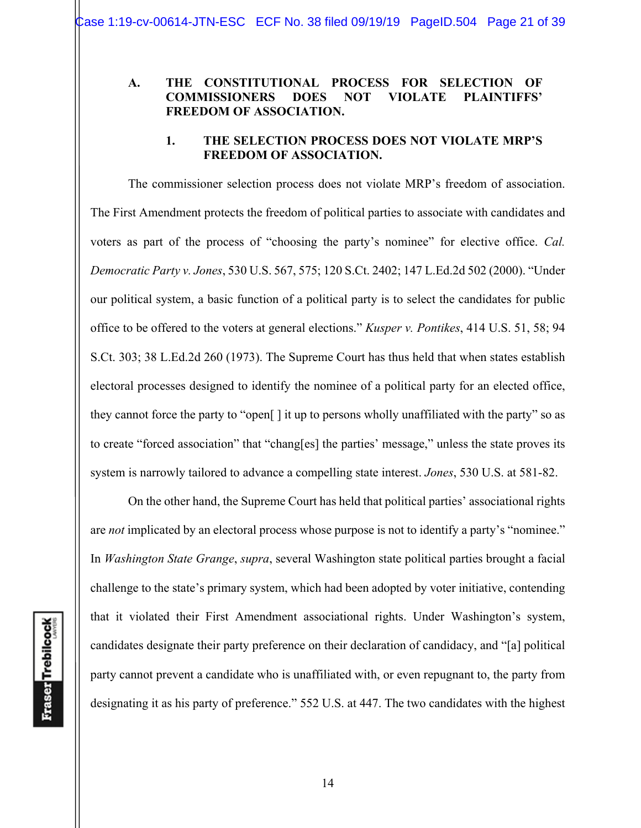### **A. THE CONSTITUTIONAL PROCESS FOR SELECTION OF COMMISSIONERS DOES NOT VIOLATE PLAINTIFFS' FREEDOM OF ASSOCIATION.**

### **1. THE SELECTION PROCESS DOES NOT VIOLATE MRP'S FREEDOM OF ASSOCIATION.**

 The commissioner selection process does not violate MRP's freedom of association. The First Amendment protects the freedom of political parties to associate with candidates and voters as part of the process of "choosing the party's nominee" for elective office. *Cal. Democratic Party v. Jones*, 530 U.S. 567, 575; 120 S.Ct. 2402; 147 L.Ed.2d 502 (2000). "Under our political system, a basic function of a political party is to select the candidates for public office to be offered to the voters at general elections." *Kusper v. Pontikes*, 414 U.S. 51, 58; 94 S.Ct. 303; 38 L.Ed.2d 260 (1973). The Supreme Court has thus held that when states establish electoral processes designed to identify the nominee of a political party for an elected office, they cannot force the party to "open[ ] it up to persons wholly unaffiliated with the party" so as to create "forced association" that "chang[es] the parties' message," unless the state proves its system is narrowly tailored to advance a compelling state interest. *Jones*, 530 U.S. at 581-82.

 On the other hand, the Supreme Court has held that political parties' associational rights are *not* implicated by an electoral process whose purpose is not to identify a party's "nominee." In *Washington State Grange*, *supra*, several Washington state political parties brought a facial challenge to the state's primary system, which had been adopted by voter initiative, contending that it violated their First Amendment associational rights. Under Washington's system, candidates designate their party preference on their declaration of candidacy, and "[a] political party cannot prevent a candidate who is unaffiliated with, or even repugnant to, the party from designating it as his party of preference." 552 U.S. at 447. The two candidates with the highest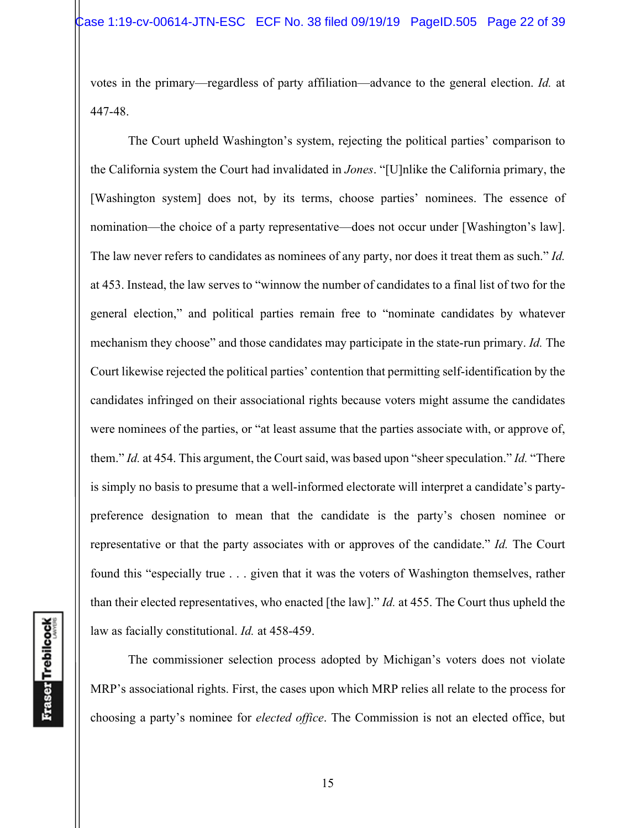votes in the primary—regardless of party affiliation—advance to the general election. *Id.* at 447-48.

The Court upheld Washington's system, rejecting the political parties' comparison to the California system the Court had invalidated in *Jones*. "[U]nlike the California primary, the [Washington system] does not, by its terms, choose parties' nominees. The essence of nomination—the choice of a party representative—does not occur under [Washington's law]. The law never refers to candidates as nominees of any party, nor does it treat them as such." *Id.* at 453. Instead, the law serves to "winnow the number of candidates to a final list of two for the general election," and political parties remain free to "nominate candidates by whatever mechanism they choose" and those candidates may participate in the state-run primary. *Id.* The Court likewise rejected the political parties' contention that permitting self-identification by the candidates infringed on their associational rights because voters might assume the candidates were nominees of the parties, or "at least assume that the parties associate with, or approve of, them." *Id.* at 454. This argument, the Court said, was based upon "sheer speculation." *Id.* "There is simply no basis to presume that a well-informed electorate will interpret a candidate's partypreference designation to mean that the candidate is the party's chosen nominee or representative or that the party associates with or approves of the candidate." *Id.* The Court found this "especially true . . . given that it was the voters of Washington themselves, rather than their elected representatives, who enacted [the law]." *Id.* at 455. The Court thus upheld the law as facially constitutional. *Id.* at 458-459.

The commissioner selection process adopted by Michigan's voters does not violate MRP's associational rights. First, the cases upon which MRP relies all relate to the process for choosing a party's nominee for *elected office*. The Commission is not an elected office, but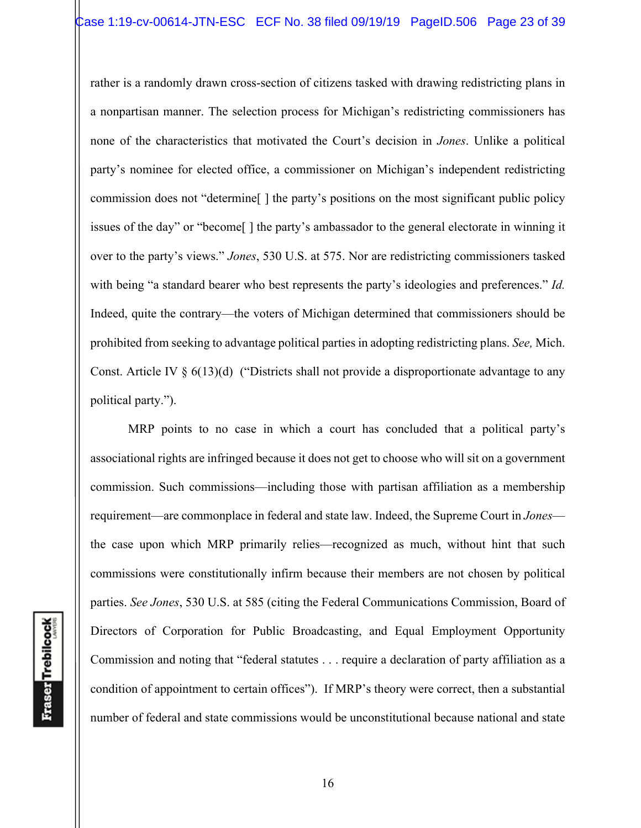rather is a randomly drawn cross-section of citizens tasked with drawing redistricting plans in a nonpartisan manner. The selection process for Michigan's redistricting commissioners has none of the characteristics that motivated the Court's decision in *Jones*. Unlike a political party's nominee for elected office, a commissioner on Michigan's independent redistricting commission does not "determine[ ] the party's positions on the most significant public policy issues of the day" or "become[ ] the party's ambassador to the general electorate in winning it over to the party's views." *Jones*, 530 U.S. at 575. Nor are redistricting commissioners tasked with being "a standard bearer who best represents the party's ideologies and preferences." *Id.* Indeed, quite the contrary—the voters of Michigan determined that commissioners should be prohibited from seeking to advantage political parties in adopting redistricting plans. *See,* Mich. Const. Article IV  $\S 6(13)(d)$  ("Districts shall not provide a disproportionate advantage to any political party.").

MRP points to no case in which a court has concluded that a political party's associational rights are infringed because it does not get to choose who will sit on a government commission. Such commissions—including those with partisan affiliation as a membership requirement—are commonplace in federal and state law. Indeed, the Supreme Court in *Jones* the case upon which MRP primarily relies—recognized as much, without hint that such commissions were constitutionally infirm because their members are not chosen by political parties. *See Jones*, 530 U.S. at 585 (citing the Federal Communications Commission, Board of Directors of Corporation for Public Broadcasting, and Equal Employment Opportunity Commission and noting that "federal statutes . . . require a declaration of party affiliation as a condition of appointment to certain offices"). If MRP's theory were correct, then a substantial number of federal and state commissions would be unconstitutional because national and state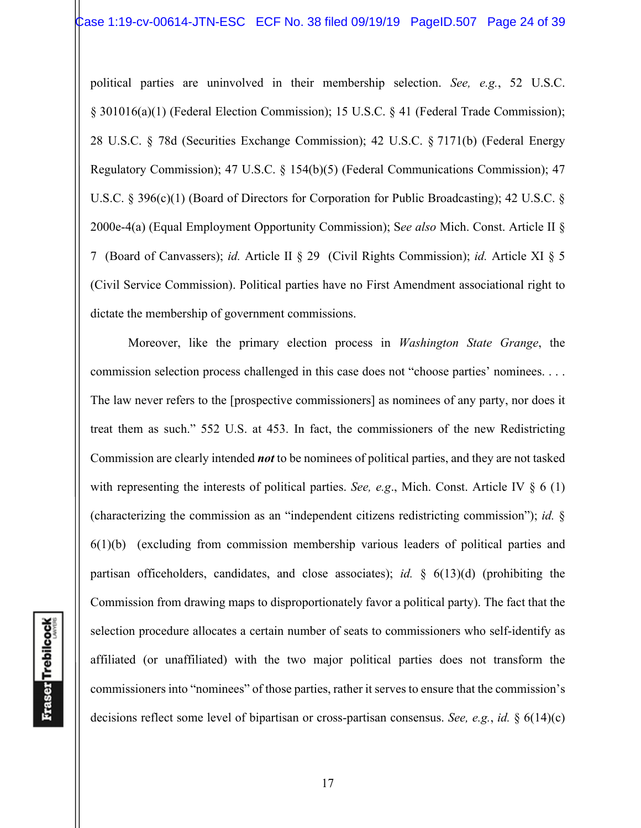political parties are uninvolved in their membership selection. *See, e.g.*, 52 U.S.C. § 301016(a)(1) (Federal Election Commission); 15 U.S.C. § 41 (Federal Trade Commission); 28 U.S.C. § 78d (Securities Exchange Commission); 42 U.S.C. § 7171(b) (Federal Energy Regulatory Commission); 47 U.S.C. § 154(b)(5) (Federal Communications Commission); 47 U.S.C. § 396(c)(1) (Board of Directors for Corporation for Public Broadcasting); 42 U.S.C. § 2000e-4(a) (Equal Employment Opportunity Commission); S*ee also* Mich. Const. Article II § 7 (Board of Canvassers); *id.* Article II § 29 (Civil Rights Commission); *id.* Article XI § 5 (Civil Service Commission). Political parties have no First Amendment associational right to dictate the membership of government commissions.

Moreover, like the primary election process in *Washington State Grange*, the commission selection process challenged in this case does not "choose parties' nominees. . . . The law never refers to the [prospective commissioners] as nominees of any party, nor does it treat them as such." 552 U.S. at 453. In fact, the commissioners of the new Redistricting Commission are clearly intended *not* to be nominees of political parties, and they are not tasked with representing the interests of political parties. *See, e.g.*, Mich. Const. Article IV § 6 (1) (characterizing the commission as an "independent citizens redistricting commission"); *id.* § 6(1)(b) (excluding from commission membership various leaders of political parties and partisan officeholders, candidates, and close associates); *id.* § 6(13)(d) (prohibiting the Commission from drawing maps to disproportionately favor a political party). The fact that the selection procedure allocates a certain number of seats to commissioners who self-identify as affiliated (or unaffiliated) with the two major political parties does not transform the commissioners into "nominees" of those parties, rather it serves to ensure that the commission's decisions reflect some level of bipartisan or cross-partisan consensus. *See, e.g.*, *id.* § 6(14)(c)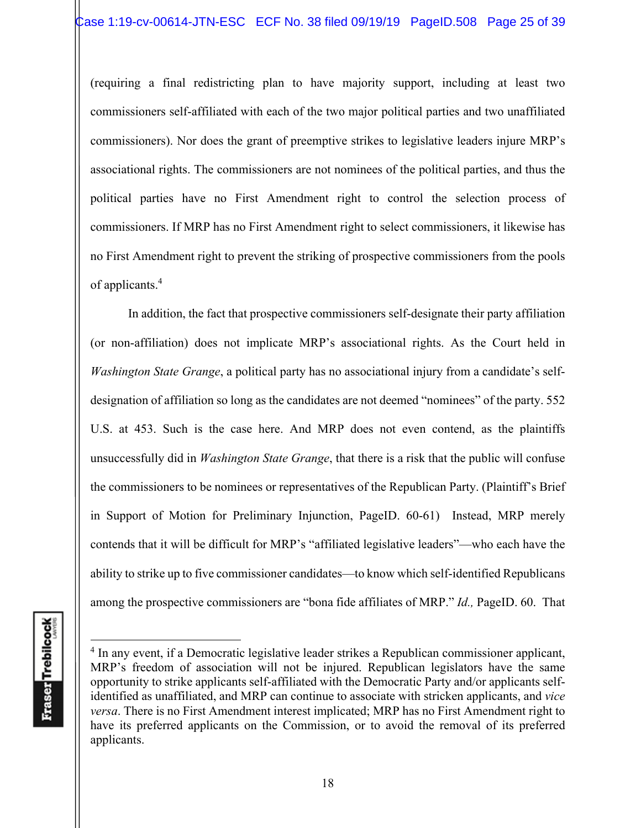(requiring a final redistricting plan to have majority support, including at least two commissioners self-affiliated with each of the two major political parties and two unaffiliated commissioners). Nor does the grant of preemptive strikes to legislative leaders injure MRP's associational rights. The commissioners are not nominees of the political parties, and thus the political parties have no First Amendment right to control the selection process of commissioners. If MRP has no First Amendment right to select commissioners, it likewise has no First Amendment right to prevent the striking of prospective commissioners from the pools of applicants.4

In addition, the fact that prospective commissioners self-designate their party affiliation (or non-affiliation) does not implicate MRP's associational rights. As the Court held in *Washington State Grange*, a political party has no associational injury from a candidate's selfdesignation of affiliation so long as the candidates are not deemed "nominees" of the party. 552 U.S. at 453. Such is the case here. And MRP does not even contend, as the plaintiffs unsuccessfully did in *Washington State Grange*, that there is a risk that the public will confuse the commissioners to be nominees or representatives of the Republican Party. (Plaintiff's Brief in Support of Motion for Preliminary Injunction, PageID. 60-61) Instead, MRP merely contends that it will be difficult for MRP's "affiliated legislative leaders"—who each have the ability to strike up to five commissioner candidates—to know which self-identified Republicans among the prospective commissioners are "bona fide affiliates of MRP." *Id.,* PageID. 60. That

<sup>&</sup>lt;sup>4</sup> In any event, if a Democratic legislative leader strikes a Republican commissioner applicant, MRP's freedom of association will not be injured. Republican legislators have the same opportunity to strike applicants self-affiliated with the Democratic Party and/or applicants selfidentified as unaffiliated, and MRP can continue to associate with stricken applicants, and *vice versa*. There is no First Amendment interest implicated; MRP has no First Amendment right to have its preferred applicants on the Commission, or to avoid the removal of its preferred applicants.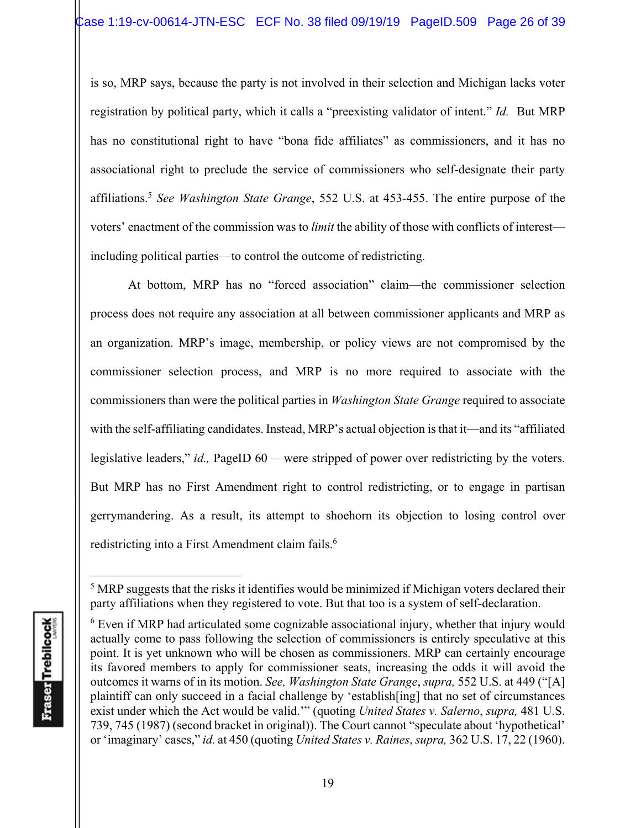is so, MRP says, because the party is not involved in their selection and Michigan lacks voter registration by political party, which it calls a "preexisting validator of intent." *Id.* But MRP has no constitutional right to have "bona fide affiliates" as commissioners, and it has no associational right to preclude the service of commissioners who self-designate their party affiliations.5 *See Washington State Grange*, 552 U.S. at 453-455. The entire purpose of the voters' enactment of the commission was to *limit* the ability of those with conflicts of interest including political parties—to control the outcome of redistricting.

At bottom, MRP has no "forced association" claim—the commissioner selection process does not require any association at all between commissioner applicants and MRP as an organization. MRP's image, membership, or policy views are not compromised by the commissioner selection process, and MRP is no more required to associate with the commissioners than were the political parties in *Washington State Grange* required to associate with the self-affiliating candidates. Instead, MRP's actual objection is that it—and its "affiliated legislative leaders," *id.,* PageID 60 —were stripped of power over redistricting by the voters. But MRP has no First Amendment right to control redistricting, or to engage in partisan gerrymandering. As a result, its attempt to shoehorn its objection to losing control over redistricting into a First Amendment claim fails.<sup>6</sup>

<sup>&</sup>lt;sup>5</sup> MRP suggests that the risks it identifies would be minimized if Michigan voters declared their party affiliations when they registered to vote. But that too is a system of self-declaration.

 $6$  Even if MRP had articulated some cognizable associational injury, whether that injury would actually come to pass following the selection of commissioners is entirely speculative at this point. It is yet unknown who will be chosen as commissioners. MRP can certainly encourage its favored members to apply for commissioner seats, increasing the odds it will avoid the outcomes it warns of in its motion. *See, Washington State Grange*, *supra,* 552 U.S. at 449 ("[A] plaintiff can only succeed in a facial challenge by 'establish[ing] that no set of circumstances exist under which the Act would be valid.'" (quoting *United States v. Salerno*, *supra,* 481 U.S. 739, 745 (1987) (second bracket in original)). The Court cannot "speculate about 'hypothetical' or 'imaginary' cases," *id.* at 450 (quoting *United States v. Raines*, *supra,* 362 U.S. 17, 22 (1960).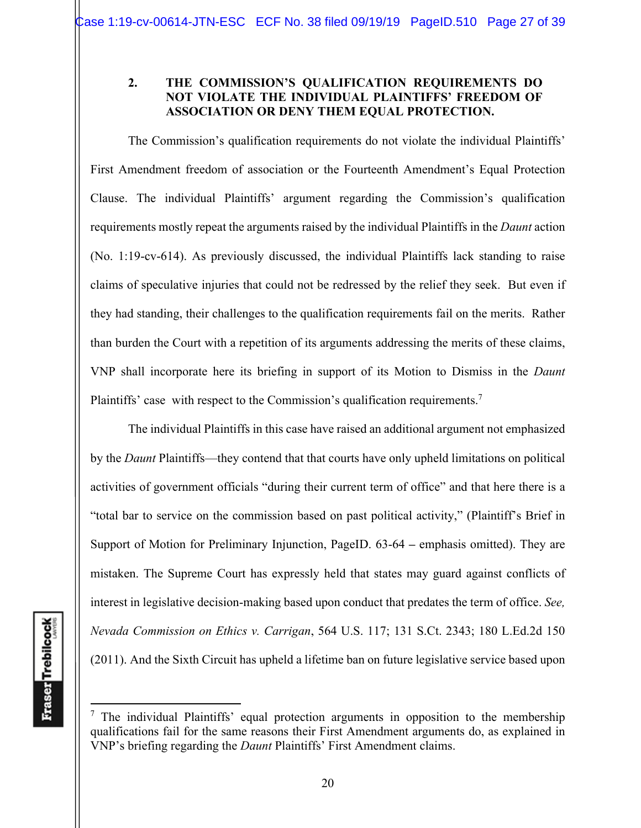### **2. THE COMMISSION'S QUALIFICATION REQUIREMENTS DO NOT VIOLATE THE INDIVIDUAL PLAINTIFFS' FREEDOM OF ASSOCIATION OR DENY THEM EQUAL PROTECTION.**

The Commission's qualification requirements do not violate the individual Plaintiffs' First Amendment freedom of association or the Fourteenth Amendment's Equal Protection Clause. The individual Plaintiffs' argument regarding the Commission's qualification requirements mostly repeat the arguments raised by the individual Plaintiffs in the *Daunt* action (No. 1:19-cv-614). As previously discussed, the individual Plaintiffs lack standing to raise claims of speculative injuries that could not be redressed by the relief they seek. But even if they had standing, their challenges to the qualification requirements fail on the merits. Rather than burden the Court with a repetition of its arguments addressing the merits of these claims, VNP shall incorporate here its briefing in support of its Motion to Dismiss in the *Daunt*  Plaintiffs' case with respect to the Commission's qualification requirements.<sup>7</sup>

The individual Plaintiffs in this case have raised an additional argument not emphasized by the *Daunt* Plaintiffs—they contend that that courts have only upheld limitations on political activities of government officials "during their current term of office" and that here there is a "total bar to service on the commission based on past political activity," (Plaintiff's Brief in Support of Motion for Preliminary Injunction, PageID. 63-64 **–** emphasis omitted). They are mistaken. The Supreme Court has expressly held that states may guard against conflicts of interest in legislative decision-making based upon conduct that predates the term of office. *See, Nevada Commission on Ethics v. Carrigan*, 564 U.S. 117; 131 S.Ct. 2343; 180 L.Ed.2d 150 (2011). And the Sixth Circuit has upheld a lifetime ban on future legislative service based upon

<sup>7</sup> The individual Plaintiffs' equal protection arguments in opposition to the membership qualifications fail for the same reasons their First Amendment arguments do, as explained in VNP's briefing regarding the *Daunt* Plaintiffs' First Amendment claims.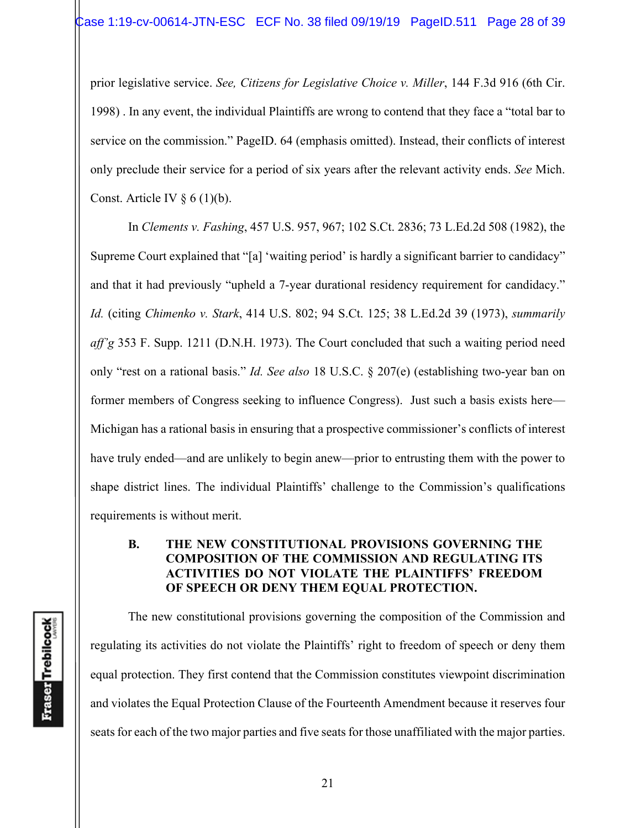prior legislative service. *See, Citizens for Legislative Choice v. Miller*, 144 F.3d 916 (6th Cir. 1998) . In any event, the individual Plaintiffs are wrong to contend that they face a "total bar to service on the commission." PageID. 64 (emphasis omitted). Instead, their conflicts of interest only preclude their service for a period of six years after the relevant activity ends. *See* Mich. Const. Article IV  $\S 6 (1)(b)$ .

In *Clements v. Fashing*, 457 U.S. 957, 967; 102 S.Ct. 2836; 73 L.Ed.2d 508 (1982), the Supreme Court explained that "[a] 'waiting period' is hardly a significant barrier to candidacy" and that it had previously "upheld a 7-year durational residency requirement for candidacy." *Id.* (citing *Chimenko v. Stark*, 414 U.S. 802; 94 S.Ct. 125; 38 L.Ed.2d 39 (1973), *summarily aff'g* 353 F. Supp. 1211 (D.N.H. 1973). The Court concluded that such a waiting period need only "rest on a rational basis." *Id. See also* 18 U.S.C. § 207(e) (establishing two-year ban on former members of Congress seeking to influence Congress). Just such a basis exists here— Michigan has a rational basis in ensuring that a prospective commissioner's conflicts of interest have truly ended—and are unlikely to begin anew—prior to entrusting them with the power to shape district lines. The individual Plaintiffs' challenge to the Commission's qualifications requirements is without merit.

### **B. THE NEW CONSTITUTIONAL PROVISIONS GOVERNING THE COMPOSITION OF THE COMMISSION AND REGULATING ITS ACTIVITIES DO NOT VIOLATE THE PLAINTIFFS' FREEDOM OF SPEECH OR DENY THEM EQUAL PROTECTION.**

The new constitutional provisions governing the composition of the Commission and regulating its activities do not violate the Plaintiffs' right to freedom of speech or deny them equal protection. They first contend that the Commission constitutes viewpoint discrimination and violates the Equal Protection Clause of the Fourteenth Amendment because it reserves four seats for each of the two major parties and five seats for those unaffiliated with the major parties.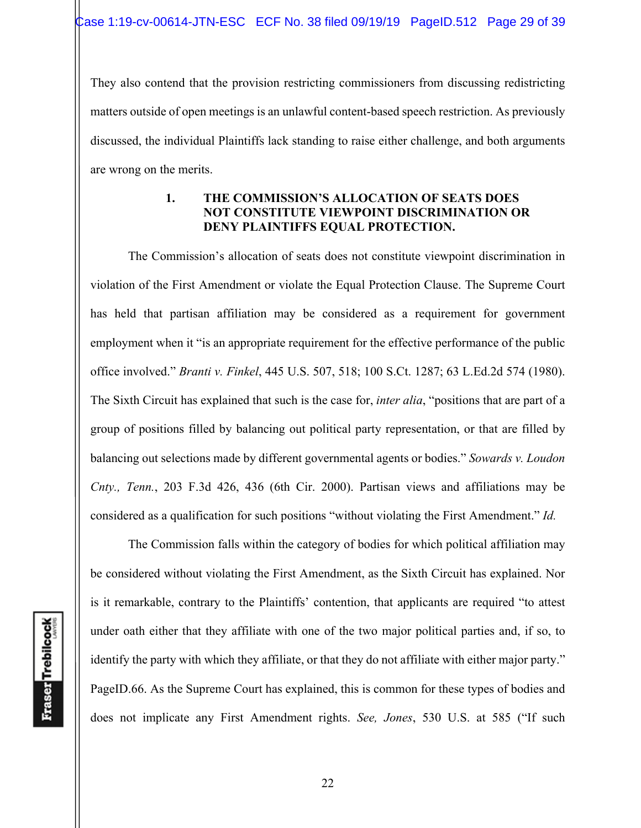They also contend that the provision restricting commissioners from discussing redistricting matters outside of open meetings is an unlawful content-based speech restriction. As previously discussed, the individual Plaintiffs lack standing to raise either challenge, and both arguments are wrong on the merits.

> **1. THE COMMISSION'S ALLOCATION OF SEATS DOES NOT CONSTITUTE VIEWPOINT DISCRIMINATION OR DENY PLAINTIFFS EQUAL PROTECTION.**

 The Commission's allocation of seats does not constitute viewpoint discrimination in violation of the First Amendment or violate the Equal Protection Clause. The Supreme Court has held that partisan affiliation may be considered as a requirement for government employment when it "is an appropriate requirement for the effective performance of the public office involved." *Branti v. Finkel*, 445 U.S. 507, 518; 100 S.Ct. 1287; 63 L.Ed.2d 574 (1980). The Sixth Circuit has explained that such is the case for, *inter alia*, "positions that are part of a group of positions filled by balancing out political party representation, or that are filled by balancing out selections made by different governmental agents or bodies." *Sowards v. Loudon Cnty., Tenn.*, 203 F.3d 426, 436 (6th Cir. 2000). Partisan views and affiliations may be considered as a qualification for such positions "without violating the First Amendment." *Id.*

 The Commission falls within the category of bodies for which political affiliation may be considered without violating the First Amendment, as the Sixth Circuit has explained. Nor is it remarkable, contrary to the Plaintiffs' contention, that applicants are required "to attest under oath either that they affiliate with one of the two major political parties and, if so, to identify the party with which they affiliate, or that they do not affiliate with either major party." PageID.66. As the Supreme Court has explained, this is common for these types of bodies and does not implicate any First Amendment rights. *See, Jones*, 530 U.S. at 585 ("If such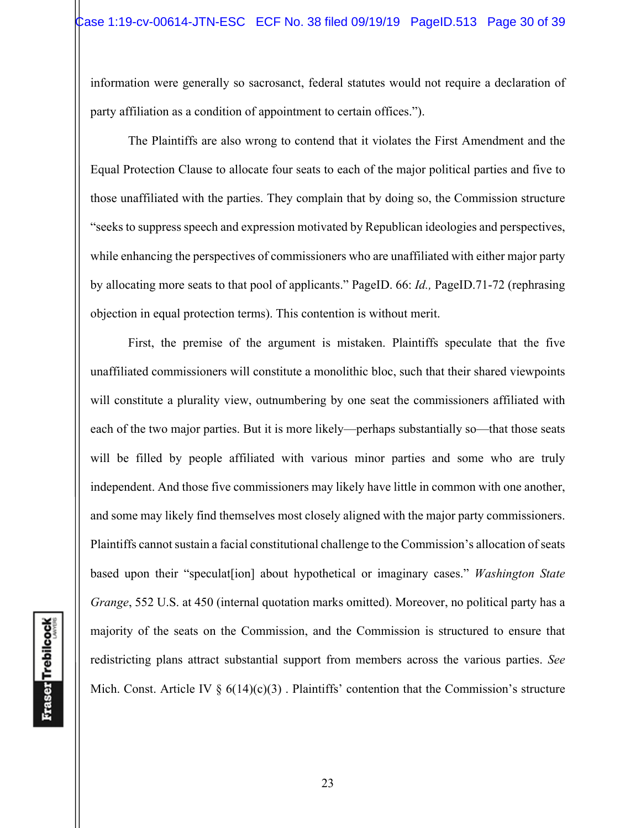information were generally so sacrosanct, federal statutes would not require a declaration of party affiliation as a condition of appointment to certain offices.").

 The Plaintiffs are also wrong to contend that it violates the First Amendment and the Equal Protection Clause to allocate four seats to each of the major political parties and five to those unaffiliated with the parties. They complain that by doing so, the Commission structure "seeks to suppress speech and expression motivated by Republican ideologies and perspectives, while enhancing the perspectives of commissioners who are unaffiliated with either major party by allocating more seats to that pool of applicants." PageID. 66: *Id.,* PageID.71-72 (rephrasing objection in equal protection terms). This contention is without merit.

 First, the premise of the argument is mistaken. Plaintiffs speculate that the five unaffiliated commissioners will constitute a monolithic bloc, such that their shared viewpoints will constitute a plurality view, outnumbering by one seat the commissioners affiliated with each of the two major parties. But it is more likely—perhaps substantially so—that those seats will be filled by people affiliated with various minor parties and some who are truly independent. And those five commissioners may likely have little in common with one another, and some may likely find themselves most closely aligned with the major party commissioners. Plaintiffs cannot sustain a facial constitutional challenge to the Commission's allocation of seats based upon their "speculat[ion] about hypothetical or imaginary cases." *Washington State Grange*, 552 U.S. at 450 (internal quotation marks omitted). Moreover, no political party has a majority of the seats on the Commission, and the Commission is structured to ensure that redistricting plans attract substantial support from members across the various parties. *See*  Mich. Const. Article IV  $\S 6(14)(c)(3)$ . Plaintiffs' contention that the Commission's structure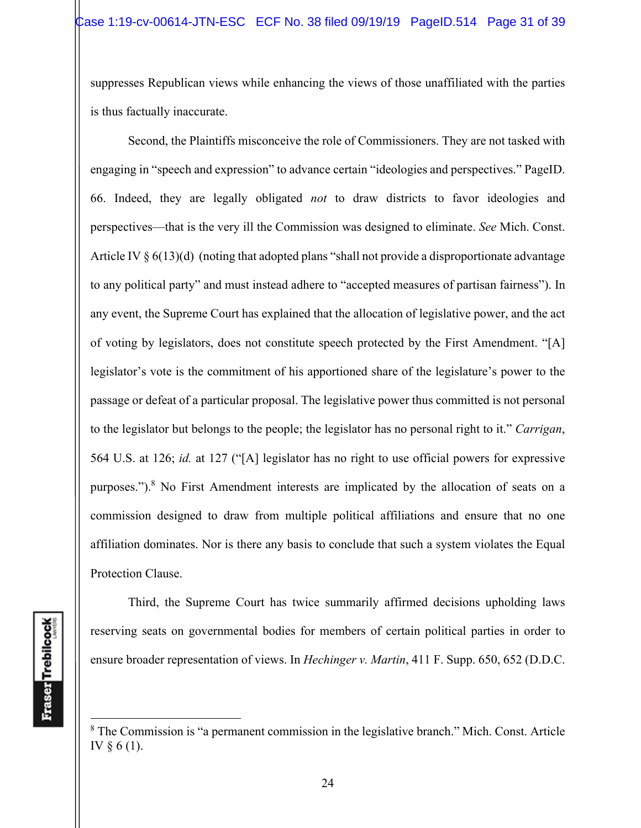suppresses Republican views while enhancing the views of those unaffiliated with the parties is thus factually inaccurate.

 Second, the Plaintiffs misconceive the role of Commissioners. They are not tasked with engaging in "speech and expression" to advance certain "ideologies and perspectives." PageID. 66. Indeed, they are legally obligated *not* to draw districts to favor ideologies and perspectives—that is the very ill the Commission was designed to eliminate. *See* Mich. Const. Article IV  $\S 6(13)(d)$  (noting that adopted plans "shall not provide a disproportionate advantage to any political party" and must instead adhere to "accepted measures of partisan fairness"). In any event, the Supreme Court has explained that the allocation of legislative power, and the act of voting by legislators, does not constitute speech protected by the First Amendment. "[A] legislator's vote is the commitment of his apportioned share of the legislature's power to the passage or defeat of a particular proposal. The legislative power thus committed is not personal to the legislator but belongs to the people; the legislator has no personal right to it." *Carrigan*, 564 U.S. at 126; *id.* at 127 ("[A] legislator has no right to use official powers for expressive purposes.").<sup>8</sup> No First Amendment interests are implicated by the allocation of seats on a commission designed to draw from multiple political affiliations and ensure that no one affiliation dominates. Nor is there any basis to conclude that such a system violates the Equal Protection Clause.

 Third, the Supreme Court has twice summarily affirmed decisions upholding laws reserving seats on governmental bodies for members of certain political parties in order to ensure broader representation of views. In *Hechinger v. Martin*, 411 F. Supp. 650, 652 (D.D.C.

 $8$  The Commission is "a permanent commission in the legislative branch." Mich. Const. Article IV § 6 (1).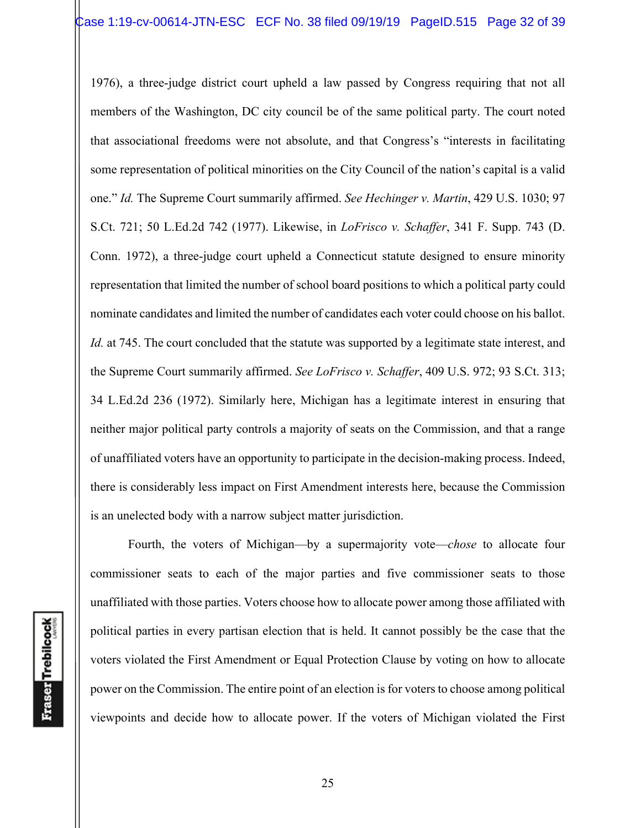1976), a three-judge district court upheld a law passed by Congress requiring that not all members of the Washington, DC city council be of the same political party. The court noted that associational freedoms were not absolute, and that Congress's "interests in facilitating some representation of political minorities on the City Council of the nation's capital is a valid one." *Id.* The Supreme Court summarily affirmed. *See Hechinger v. Martin*, 429 U.S. 1030; 97 S.Ct. 721; 50 L.Ed.2d 742 (1977). Likewise, in *LoFrisco v. Schaffer*, 341 F. Supp. 743 (D. Conn. 1972), a three-judge court upheld a Connecticut statute designed to ensure minority representation that limited the number of school board positions to which a political party could nominate candidates and limited the number of candidates each voter could choose on his ballot. *Id.* at 745. The court concluded that the statute was supported by a legitimate state interest, and the Supreme Court summarily affirmed. *See LoFrisco v. Schaffer*, 409 U.S. 972; 93 S.Ct. 313; 34 L.Ed.2d 236 (1972). Similarly here, Michigan has a legitimate interest in ensuring that neither major political party controls a majority of seats on the Commission, and that a range of unaffiliated voters have an opportunity to participate in the decision-making process. Indeed, there is considerably less impact on First Amendment interests here, because the Commission is an unelected body with a narrow subject matter jurisdiction.

Fourth, the voters of Michigan—by a supermajority vote—*chose* to allocate four commissioner seats to each of the major parties and five commissioner seats to those unaffiliated with those parties. Voters choose how to allocate power among those affiliated with political parties in every partisan election that is held. It cannot possibly be the case that the voters violated the First Amendment or Equal Protection Clause by voting on how to allocate power on the Commission. The entire point of an election is for voters to choose among political viewpoints and decide how to allocate power. If the voters of Michigan violated the First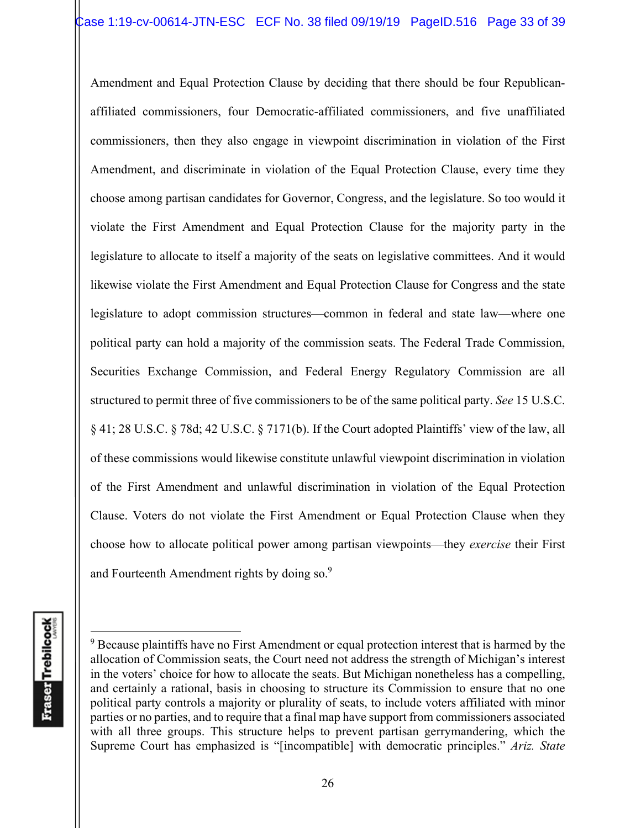Amendment and Equal Protection Clause by deciding that there should be four Republicanaffiliated commissioners, four Democratic-affiliated commissioners, and five unaffiliated commissioners, then they also engage in viewpoint discrimination in violation of the First Amendment, and discriminate in violation of the Equal Protection Clause, every time they choose among partisan candidates for Governor, Congress, and the legislature. So too would it violate the First Amendment and Equal Protection Clause for the majority party in the legislature to allocate to itself a majority of the seats on legislative committees. And it would likewise violate the First Amendment and Equal Protection Clause for Congress and the state legislature to adopt commission structures—common in federal and state law—where one political party can hold a majority of the commission seats. The Federal Trade Commission, Securities Exchange Commission, and Federal Energy Regulatory Commission are all structured to permit three of five commissioners to be of the same political party. *See* 15 U.S.C. § 41; 28 U.S.C. § 78d; 42 U.S.C. § 7171(b). If the Court adopted Plaintiffs' view of the law, all of these commissions would likewise constitute unlawful viewpoint discrimination in violation of the First Amendment and unlawful discrimination in violation of the Equal Protection Clause. Voters do not violate the First Amendment or Equal Protection Clause when they choose how to allocate political power among partisan viewpoints—they *exercise* their First and Fourteenth Amendment rights by doing so.<sup>9</sup>

**Fraser** Trebilcock

 $9$  Because plaintiffs have no First Amendment or equal protection interest that is harmed by the allocation of Commission seats, the Court need not address the strength of Michigan's interest in the voters' choice for how to allocate the seats. But Michigan nonetheless has a compelling, and certainly a rational, basis in choosing to structure its Commission to ensure that no one political party controls a majority or plurality of seats, to include voters affiliated with minor parties or no parties, and to require that a final map have support from commissioners associated with all three groups. This structure helps to prevent partisan gerrymandering, which the Supreme Court has emphasized is "[incompatible] with democratic principles." *Ariz. State*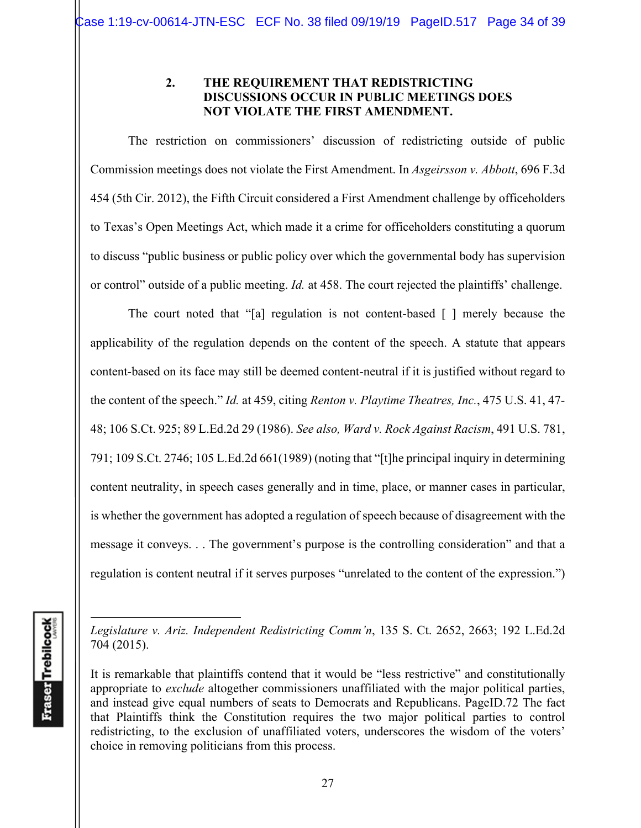### **2. THE REQUIREMENT THAT REDISTRICTING DISCUSSIONS OCCUR IN PUBLIC MEETINGS DOES NOT VIOLATE THE FIRST AMENDMENT.**

 The restriction on commissioners' discussion of redistricting outside of public Commission meetings does not violate the First Amendment. In *Asgeirsson v. Abbott*, 696 F.3d 454 (5th Cir. 2012), the Fifth Circuit considered a First Amendment challenge by officeholders to Texas's Open Meetings Act, which made it a crime for officeholders constituting a quorum to discuss "public business or public policy over which the governmental body has supervision or control" outside of a public meeting. *Id.* at 458. The court rejected the plaintiffs' challenge.

The court noted that "[a] regulation is not content-based [ ] merely because the applicability of the regulation depends on the content of the speech. A statute that appears content-based on its face may still be deemed content-neutral if it is justified without regard to the content of the speech." *Id.* at 459, citing *Renton v. Playtime Theatres, Inc.*, 475 U.S. 41, 47- 48; 106 S.Ct. 925; 89 L.Ed.2d 29 (1986). *See also, Ward v. Rock Against Racism*, 491 U.S. 781, 791; 109 S.Ct. 2746; 105 L.Ed.2d 661(1989) (noting that "[t]he principal inquiry in determining content neutrality, in speech cases generally and in time, place, or manner cases in particular, is whether the government has adopted a regulation of speech because of disagreement with the message it conveys. . . The government's purpose is the controlling consideration" and that a regulation is content neutral if it serves purposes "unrelated to the content of the expression.")

*Legislature v. Ariz. Independent Redistricting Comm'n*, 135 S. Ct. 2652, 2663; 192 L.Ed.2d 704 (2015).

It is remarkable that plaintiffs contend that it would be "less restrictive" and constitutionally appropriate to *exclude* altogether commissioners unaffiliated with the major political parties, and instead give equal numbers of seats to Democrats and Republicans. PageID.72 The fact that Plaintiffs think the Constitution requires the two major political parties to control redistricting, to the exclusion of unaffiliated voters, underscores the wisdom of the voters' choice in removing politicians from this process.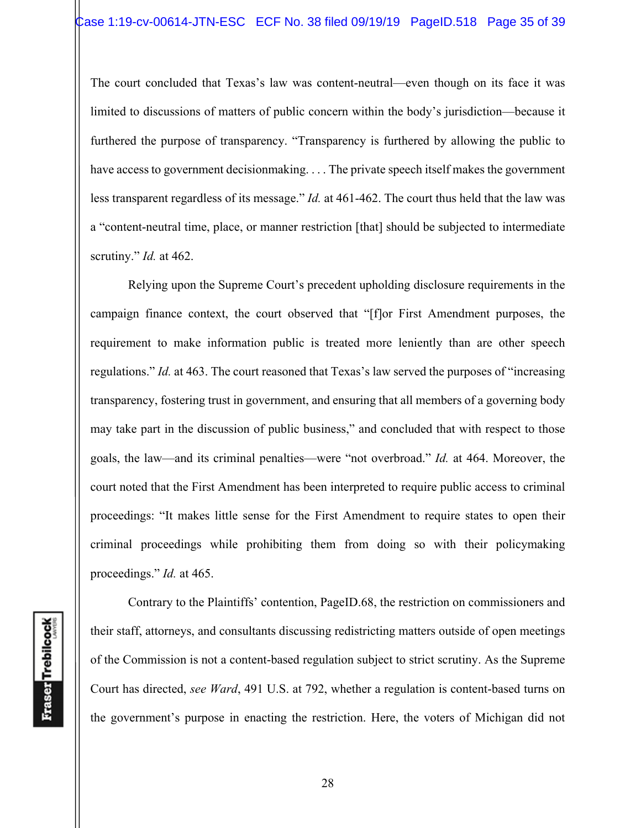The court concluded that Texas's law was content-neutral—even though on its face it was limited to discussions of matters of public concern within the body's jurisdiction—because it furthered the purpose of transparency. "Transparency is furthered by allowing the public to have access to government decisionmaking. . . . The private speech itself makes the government less transparent regardless of its message." *Id.* at 461-462. The court thus held that the law was a "content-neutral time, place, or manner restriction [that] should be subjected to intermediate scrutiny." *Id.* at 462.

Relying upon the Supreme Court's precedent upholding disclosure requirements in the campaign finance context, the court observed that "[f]or First Amendment purposes, the requirement to make information public is treated more leniently than are other speech regulations." *Id.* at 463. The court reasoned that Texas's law served the purposes of "increasing transparency, fostering trust in government, and ensuring that all members of a governing body may take part in the discussion of public business," and concluded that with respect to those goals, the law—and its criminal penalties—were "not overbroad." *Id.* at 464. Moreover, the court noted that the First Amendment has been interpreted to require public access to criminal proceedings: "It makes little sense for the First Amendment to require states to open their criminal proceedings while prohibiting them from doing so with their policymaking proceedings." *Id.* at 465.

**Fraser** Trebilcock

Contrary to the Plaintiffs' contention, PageID.68, the restriction on commissioners and their staff, attorneys, and consultants discussing redistricting matters outside of open meetings of the Commission is not a content-based regulation subject to strict scrutiny. As the Supreme Court has directed, *see Ward*, 491 U.S. at 792, whether a regulation is content-based turns on the government's purpose in enacting the restriction. Here, the voters of Michigan did not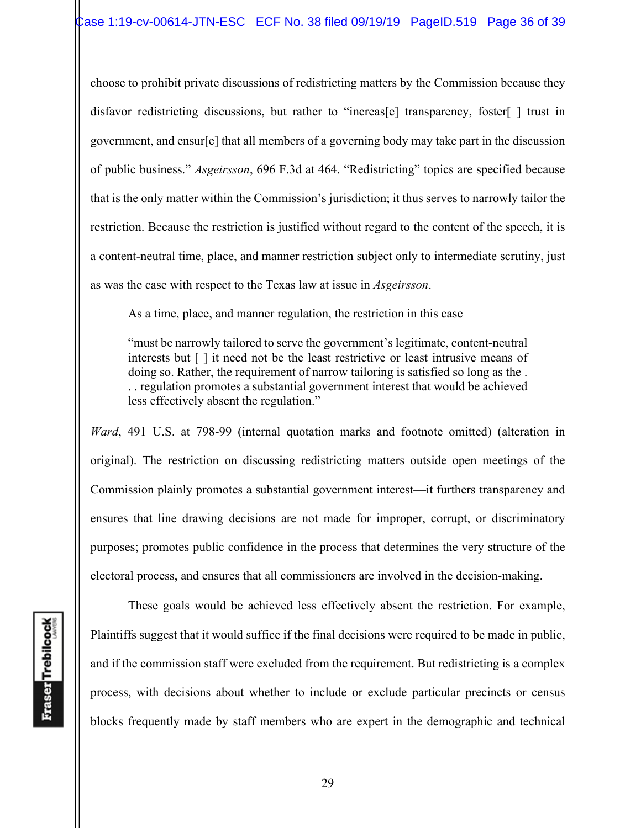choose to prohibit private discussions of redistricting matters by the Commission because they disfavor redistricting discussions, but rather to "increas[e] transparency, foster[ ] trust in government, and ensur[e] that all members of a governing body may take part in the discussion of public business." *Asgeirsson*, 696 F.3d at 464. "Redistricting" topics are specified because that is the only matter within the Commission's jurisdiction; it thus serves to narrowly tailor the restriction. Because the restriction is justified without regard to the content of the speech, it is a content-neutral time, place, and manner restriction subject only to intermediate scrutiny, just as was the case with respect to the Texas law at issue in *Asgeirsson*.

As a time, place, and manner regulation, the restriction in this case

"must be narrowly tailored to serve the government's legitimate, content-neutral interests but [ ] it need not be the least restrictive or least intrusive means of doing so. Rather, the requirement of narrow tailoring is satisfied so long as the . . . regulation promotes a substantial government interest that would be achieved less effectively absent the regulation."

*Ward*, 491 U.S. at 798-99 (internal quotation marks and footnote omitted) (alteration in original). The restriction on discussing redistricting matters outside open meetings of the Commission plainly promotes a substantial government interest—it furthers transparency and ensures that line drawing decisions are not made for improper, corrupt, or discriminatory purposes; promotes public confidence in the process that determines the very structure of the electoral process, and ensures that all commissioners are involved in the decision-making.

These goals would be achieved less effectively absent the restriction. For example, Plaintiffs suggest that it would suffice if the final decisions were required to be made in public, and if the commission staff were excluded from the requirement. But redistricting is a complex process, with decisions about whether to include or exclude particular precincts or census blocks frequently made by staff members who are expert in the demographic and technical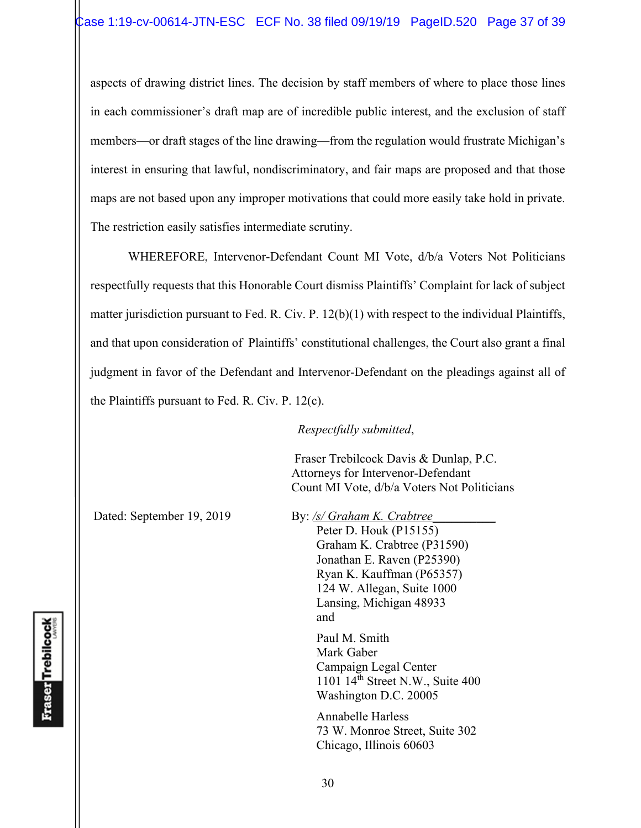aspects of drawing district lines. The decision by staff members of where to place those lines in each commissioner's draft map are of incredible public interest, and the exclusion of staff members—or draft stages of the line drawing—from the regulation would frustrate Michigan's interest in ensuring that lawful, nondiscriminatory, and fair maps are proposed and that those maps are not based upon any improper motivations that could more easily take hold in private. The restriction easily satisfies intermediate scrutiny.

 WHEREFORE, Intervenor-Defendant Count MI Vote, d/b/a Voters Not Politicians respectfully requests that this Honorable Court dismiss Plaintiffs' Complaint for lack of subject matter jurisdiction pursuant to Fed. R. Civ. P. 12(b)(1) with respect to the individual Plaintiffs, and that upon consideration of Plaintiffs' constitutional challenges, the Court also grant a final judgment in favor of the Defendant and Intervenor-Defendant on the pleadings against all of the Plaintiffs pursuant to Fed. R. Civ. P. 12(c).

### *Respectfully submitted*,

 Fraser Trebilcock Davis & Dunlap, P.C. Attorneys for Intervenor-Defendant Count MI Vote, d/b/a Voters Not Politicians

Dated: September 19, 2019 By: */s/ Graham K. Crabtree* 

Peter D. Houk (P15155) Graham K. Crabtree (P31590) Jonathan E. Raven (P25390) Ryan K. Kauffman (P65357) 124 W. Allegan, Suite 1000 Lansing, Michigan 48933 and and state of the state of the state of the state of the state of the state of the state of the state of the state of the state of the state of the state of the state of the state of the state of the state of the state

> Paul M. Smith Mark Gaber Campaign Legal Center 1101 14th Street N.W., Suite 400 Washington D.C. 20005

Annabelle Harless 73 W. Monroe Street, Suite 302 Chicago, Illinois 60603

**Fraser Trebilcock**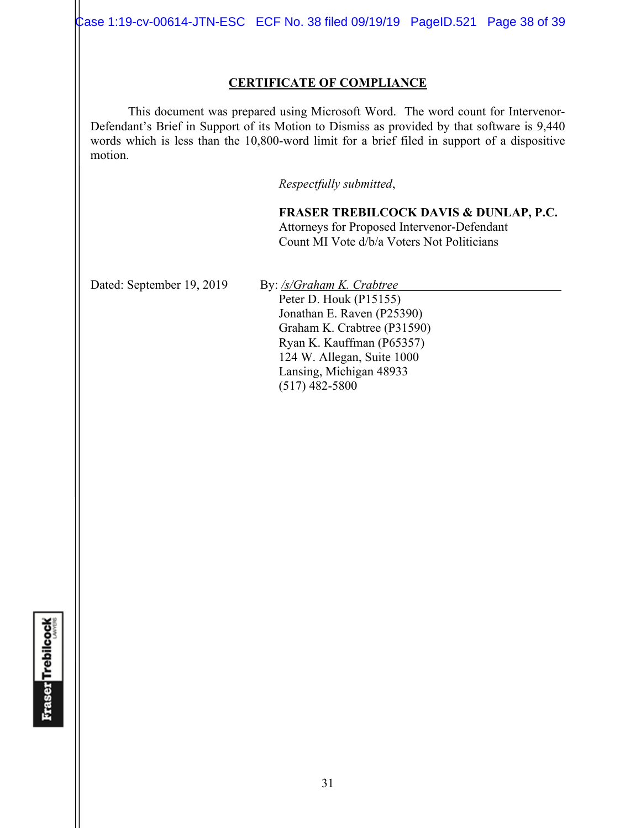Case 1:19-cv-00614-JTN-ESC ECF No. 38 filed 09/19/19 PageID.521 Page 38 of 39

### **CERTIFICATE OF COMPLIANCE**

 This document was prepared using Microsoft Word. The word count for Intervenor-Defendant's Brief in Support of its Motion to Dismiss as provided by that software is 9,440 words which is less than the 10,800-word limit for a brief filed in support of a dispositive motion.

*Respectfully submitted*,

**FRASER TREBILCOCK DAVIS & DUNLAP, P.C.** Attorneys for Proposed Intervenor-Defendant Count MI Vote d/b/a Voters Not Politicians

Dated: September 19, 2019 By: /s/Graham K. Crabtree Peter D. Houk (P15155)

Jonathan E. Raven (P25390) Graham K. Crabtree (P31590) Ryan K. Kauffman (P65357) 124 W. Allegan, Suite 1000 Lansing, Michigan 48933 (517) 482-5800

**Fraser Trebilcock**